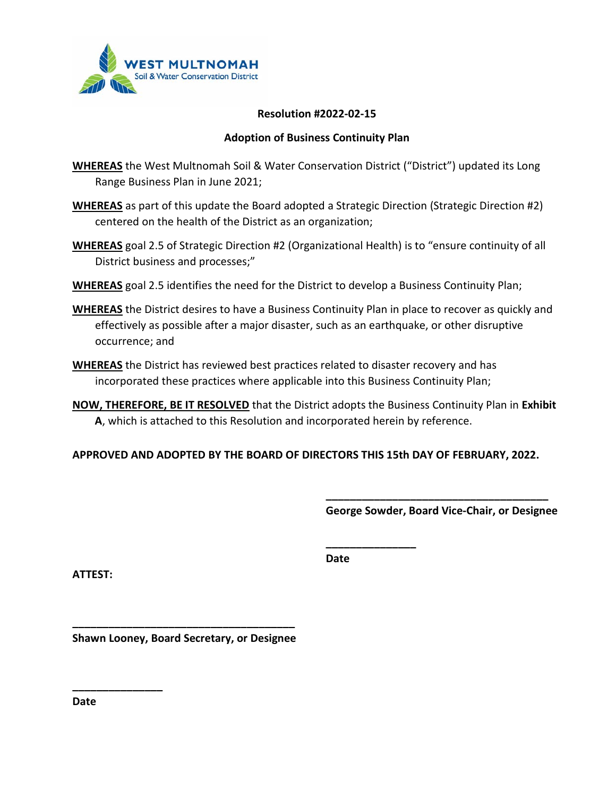

#### **Resolution #2022-02-15**

#### **Adoption of Business Continuity Plan**

- **WHEREAS** the West Multnomah Soil & Water Conservation District ("District") updated its Long Range Business Plan in June 2021;
- **WHEREAS** as part of this update the Board adopted a Strategic Direction (Strategic Direction #2) centered on the health of the District as an organization;
- **WHEREAS** goal 2.5 of Strategic Direction #2 (Organizational Health) is to "ensure continuity of all District business and processes;"
- **WHEREAS** goal 2.5 identifies the need for the District to develop a Business Continuity Plan;
- **WHEREAS** the District desires to have a Business Continuity Plan in place to recover as quickly and effectively as possible after a major disaster, such as an earthquake, or other disruptive occurrence; and
- **WHEREAS** the District has reviewed best practices related to disaster recovery and has incorporated these practices where applicable into this Business Continuity Plan;
- **NOW, THEREFORE, BE IT RESOLVED** that the District adopts the Business Continuity Plan in **Exhibit A**, which is attached to this Resolution and incorporated herein by reference.

**APPROVED AND ADOPTED BY THE BOARD OF DIRECTORS THIS 15th DAY OF FEBRUARY, 2022.**

**\_\_\_\_\_\_\_\_\_\_\_\_\_\_\_\_\_\_\_\_\_\_\_\_\_\_\_\_\_\_\_\_\_\_\_\_\_ George Sowder, Board Vice-Chair, or Designee**

**ATTEST:**

**Date**

**\_\_\_\_\_\_\_\_\_\_\_\_\_\_\_**

**\_\_\_\_\_\_\_\_\_\_\_\_\_\_\_\_\_\_\_\_\_\_\_\_\_\_\_\_\_\_\_\_\_\_\_\_\_ Shawn Looney, Board Secretary, or Designee**

**Date**

**\_\_\_\_\_\_\_\_\_\_\_\_\_\_\_**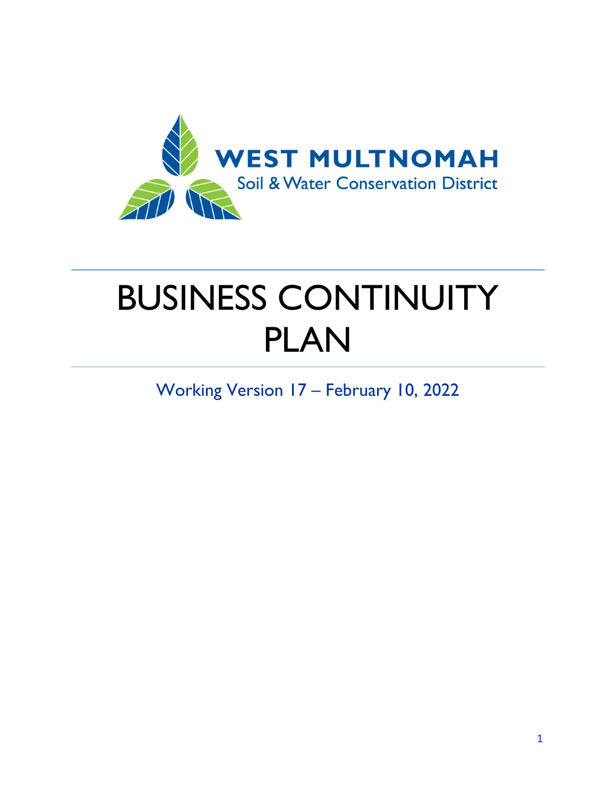

# BUSINESS CONTINUITY PLAN

Working Version 17 – February 10, 2022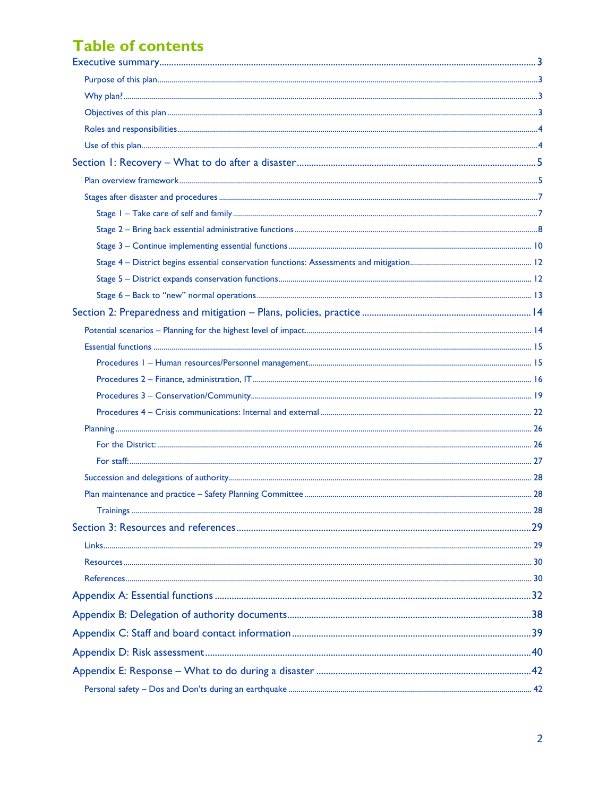### **Table of contents**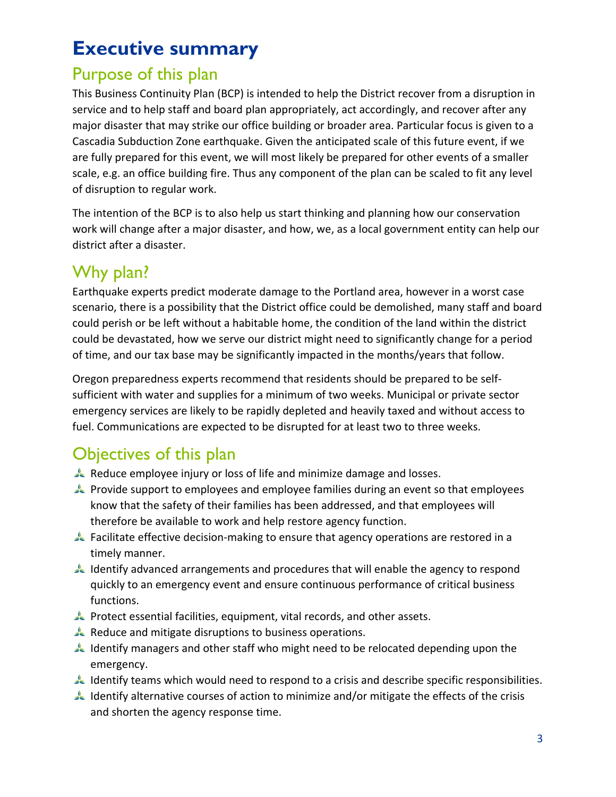# <span id="page-3-0"></span>**Executive summary**

# <span id="page-3-1"></span>Purpose of this plan

This Business Continuity Plan (BCP) is intended to help the District recover from a disruption in service and to help staff and board plan appropriately, act accordingly, and recover after any major disaster that may strike our office building or broader area. Particular focus is given to a Cascadia Subduction Zone earthquake. Given the anticipated scale of this future event, if we are fully prepared for this event, we will most likely be prepared for other events of a smaller scale, e.g. an office building fire. Thus any component of the plan can be scaled to fit any level of disruption to regular work.

The intention of the BCP is to also help us start thinking and planning how our conservation work will change after a major disaster, and how, we, as a local government entity can help our district after a disaster.

# <span id="page-3-2"></span>Why plan?

Earthquake experts predict moderate damage to the Portland area, however in a worst case scenario, there is a possibility that the District office could be demolished, many staff and board could perish or be left without a habitable home, the condition of the land within the district could be devastated, how we serve our district might need to significantly change for a period of time, and our tax base may be significantly impacted in the months/years that follow.

Oregon preparedness experts recommend that residents should be prepared to be selfsufficient with water and supplies for a minimum of two weeks. Municipal or private sector emergency services are likely to be rapidly depleted and heavily taxed and without access to fuel. Communications are expected to be disrupted for at least two to three weeks.

# <span id="page-3-3"></span>Objectives of this plan

- Reduce employee injury or loss of life and minimize damage and losses.
- Provide support to employees and employee families during an event so that employees know that the safety of their families has been addressed, and that employees will therefore be available to work and help restore agency function.
- Facilitate effective decision-making to ensure that agency operations are restored in a timely manner.
- Identify advanced arrangements and procedures that will enable the agency to respond quickly to an emergency event and ensure continuous performance of critical business functions.
- Protect essential facilities, equipment, vital records, and other assets.
- Reduce and mitigate disruptions to business operations.
- Identify managers and other staff who might need to be relocated depending upon the emergency.
- Identify teams which would need to respond to a crisis and describe specific responsibilities.
- Identify alternative courses of action to minimize and/or mitigate the effects of the crisis and shorten the agency response time.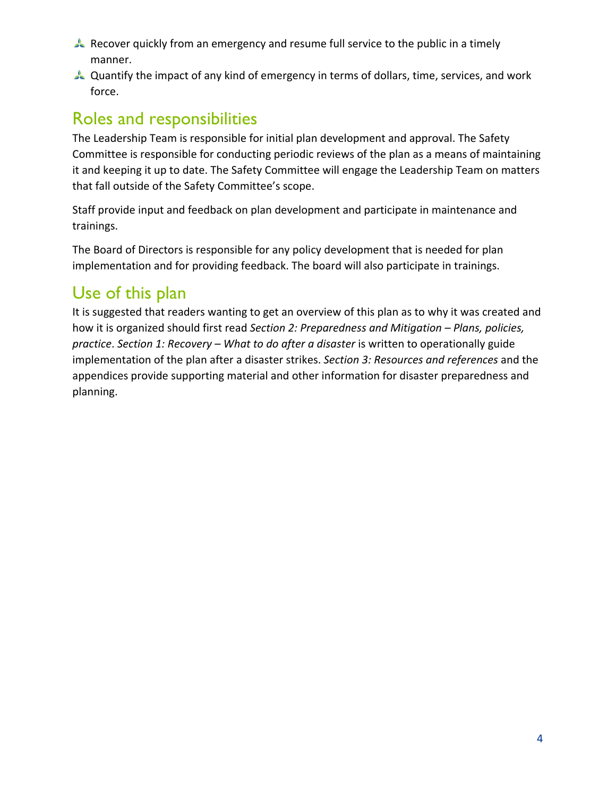- Recover quickly from an emergency and resume full service to the public in a timely manner.
- Quantify the impact of any kind of emergency in terms of dollars, time, services, and work force.

# <span id="page-4-0"></span>Roles and responsibilities

The Leadership Team is responsible for initial plan development and approval. The Safety Committee is responsible for conducting periodic reviews of the plan as a means of maintaining it and keeping it up to date. The Safety Committee will engage the Leadership Team on matters that fall outside of the Safety Committee's scope.

Staff provide input and feedback on plan development and participate in maintenance and trainings.

The Board of Directors is responsible for any policy development that is needed for plan implementation and for providing feedback. The board will also participate in trainings.

# <span id="page-4-1"></span>Use of this plan

It is suggested that readers wanting to get an overview of this plan as to why it was created and how it is organized should first read *Section 2: Preparedness and Mitigation – Plans, policies, practice*. *Section 1: Recovery – What to do after a disaster* is written to operationally guide implementation of the plan after a disaster strikes. *Section 3: Resources and references* and the appendices provide supporting material and other information for disaster preparedness and planning.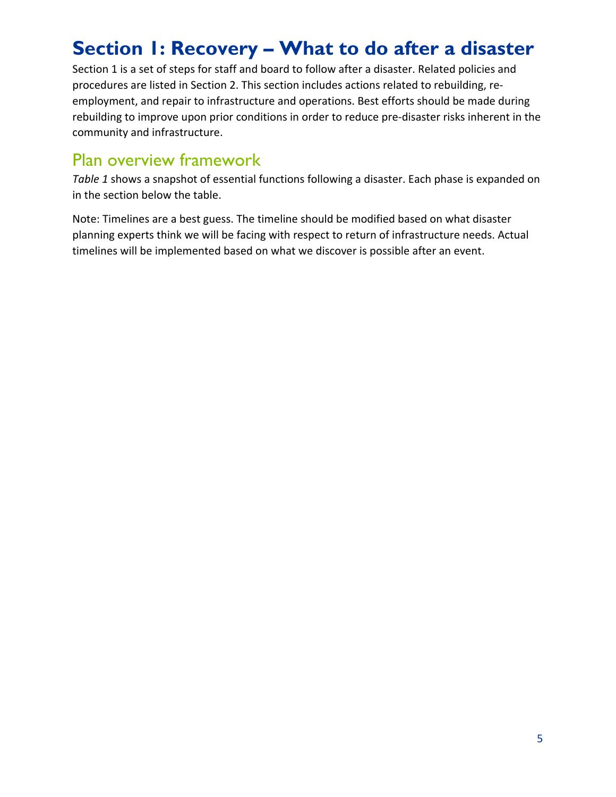# <span id="page-5-0"></span>**Section 1: Recovery – What to do after a disaster**

Section 1 is a set of steps for staff and board to follow after a disaster. Related policies and procedures are listed in Section 2. This section includes actions related to rebuilding, reemployment, and repair to infrastructure and operations. Best efforts should be made during rebuilding to improve upon prior conditions in order to reduce pre-disaster risks inherent in the community and infrastructure.

### <span id="page-5-1"></span>Plan overview framework

*Table 1* shows a snapshot of essential functions following a disaster. Each phase is expanded on in the section below the table.

Note: Timelines are a best guess. The timeline should be modified based on what disaster planning experts think we will be facing with respect to return of infrastructure needs. Actual timelines will be implemented based on what we discover is possible after an event.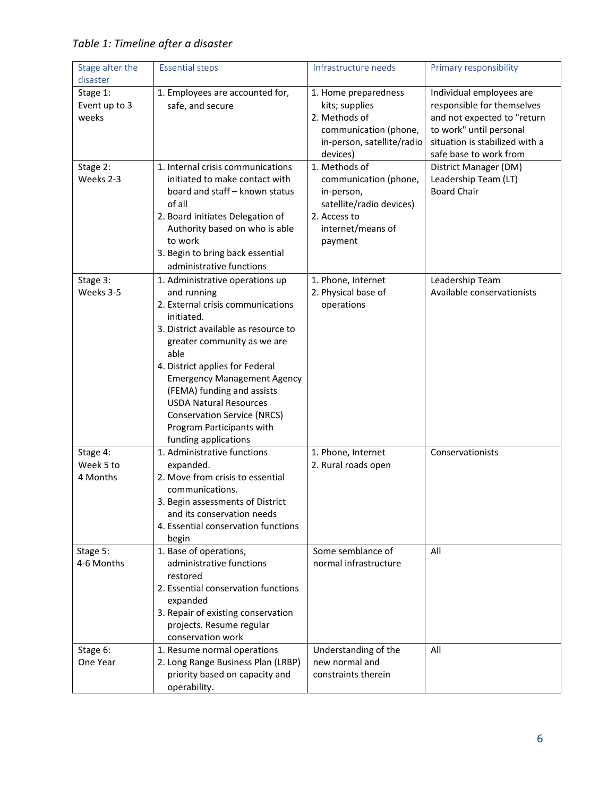| Stage after the<br>disaster        | <b>Essential steps</b>                                                                                                                                                                                                                                                                                                                                                                                              | Infrastructure needs                                                                                                             | Primary responsibility                                                                                                                             |
|------------------------------------|---------------------------------------------------------------------------------------------------------------------------------------------------------------------------------------------------------------------------------------------------------------------------------------------------------------------------------------------------------------------------------------------------------------------|----------------------------------------------------------------------------------------------------------------------------------|----------------------------------------------------------------------------------------------------------------------------------------------------|
| Stage 1:<br>Event up to 3<br>weeks | 1. Employees are accounted for,<br>safe, and secure                                                                                                                                                                                                                                                                                                                                                                 | 1. Home preparedness<br>kits; supplies<br>2. Methods of<br>communication (phone,<br>in-person, satellite/radio                   | Individual employees are<br>responsible for themselves<br>and not expected to "return<br>to work" until personal<br>situation is stabilized with a |
|                                    |                                                                                                                                                                                                                                                                                                                                                                                                                     | devices)                                                                                                                         | safe base to work from                                                                                                                             |
| Stage 2:<br>Weeks 2-3              | 1. Internal crisis communications<br>initiated to make contact with<br>board and staff - known status<br>of all<br>2. Board initiates Delegation of<br>Authority based on who is able<br>to work<br>3. Begin to bring back essential<br>administrative functions                                                                                                                                                    | 1. Methods of<br>communication (phone,<br>in-person,<br>satellite/radio devices)<br>2. Access to<br>internet/means of<br>payment | District Manager (DM)<br>Leadership Team (LT)<br><b>Board Chair</b>                                                                                |
| Stage 3:<br>Weeks 3-5              | 1. Administrative operations up<br>and running<br>2. External crisis communications<br>initiated.<br>3. District available as resource to<br>greater community as we are<br>able<br>4. District applies for Federal<br><b>Emergency Management Agency</b><br>(FEMA) funding and assists<br><b>USDA Natural Resources</b><br><b>Conservation Service (NRCS)</b><br>Program Participants with<br>funding applications | 1. Phone, Internet<br>2. Physical base of<br>operations                                                                          | Leadership Team<br>Available conservationists                                                                                                      |
| Stage 4:<br>Week 5 to<br>4 Months  | 1. Administrative functions<br>expanded.<br>2. Move from crisis to essential<br>communications.<br>3. Begin assessments of District<br>and its conservation needs<br>4. Essential conservation functions<br>begin                                                                                                                                                                                                   | 1. Phone, Internet<br>2. Rural roads open                                                                                        | Conservationists                                                                                                                                   |
| Stage 5:<br>4-6 Months             | 1. Base of operations,<br>administrative functions<br>restored<br>2. Essential conservation functions<br>expanded<br>3. Repair of existing conservation<br>projects. Resume regular<br>conservation work                                                                                                                                                                                                            | Some semblance of<br>normal infrastructure                                                                                       | All                                                                                                                                                |
| Stage 6:<br>One Year               | 1. Resume normal operations<br>2. Long Range Business Plan (LRBP)<br>priority based on capacity and<br>operability.                                                                                                                                                                                                                                                                                                 | Understanding of the<br>new normal and<br>constraints therein                                                                    | All                                                                                                                                                |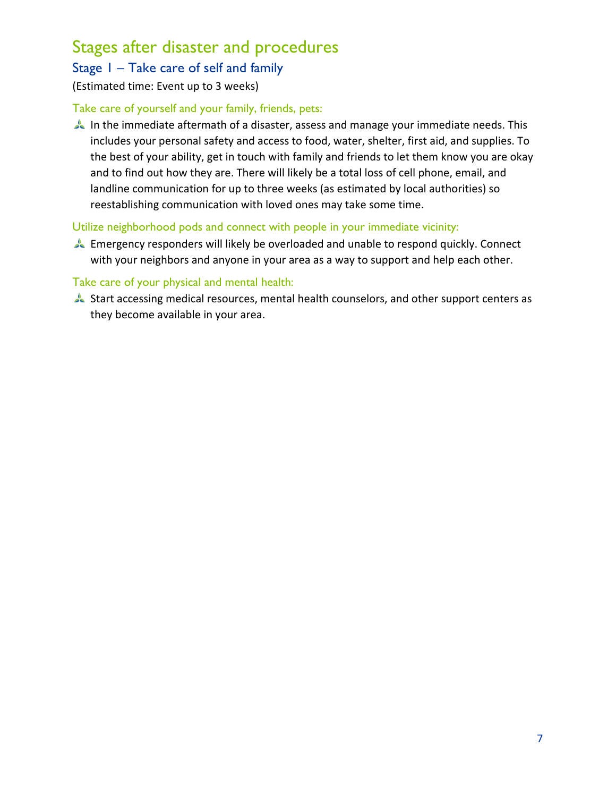### <span id="page-7-0"></span>Stages after disaster and procedures

### <span id="page-7-1"></span>Stage 1 – Take care of self and family

#### (Estimated time: Event up to 3 weeks)

#### Take care of yourself and your family, friends, pets:

In the immediate aftermath of a disaster, assess and manage your immediate needs. This includes your personal safety and access to food, water, shelter, first aid, and supplies. To the best of your ability, get in touch with family and friends to let them know you are okay and to find out how they are. There will likely be a total loss of cell phone, email, and landline communication for up to three weeks (as estimated by local authorities) so reestablishing communication with loved ones may take some time.

#### Utilize neighborhood pods and connect with people in your immediate vicinity:

Emergency responders will likely be overloaded and unable to respond quickly. Connect with your neighbors and anyone in your area as a way to support and help each other.

#### Take care of your physical and mental health:

Start accessing medical resources, mental health counselors, and other support centers as they become available in your area.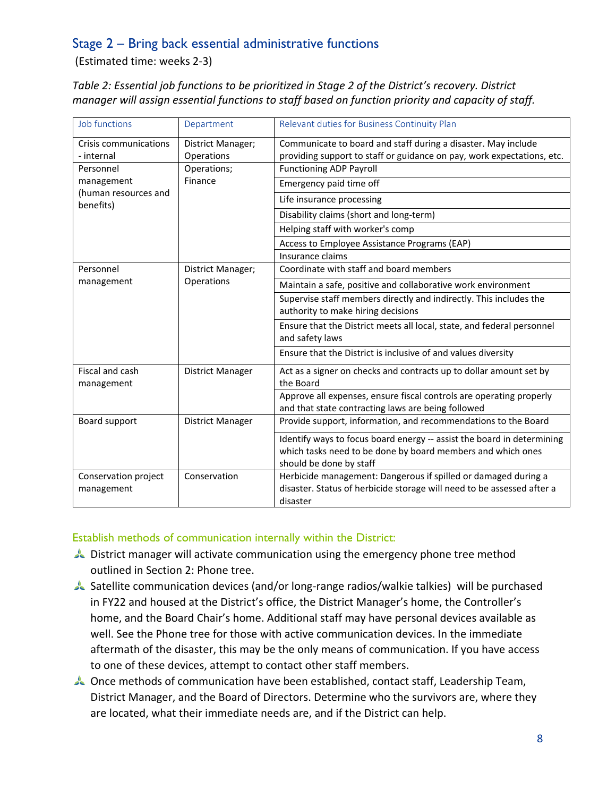### <span id="page-8-0"></span>Stage 2 – Bring back essential administrative functions

(Estimated time: weeks 2-3)

*Table 2: Essential job functions to be prioritized in Stage 2 of the District's recovery. District manager will assign essential functions to staff based on function priority and capacity of staff.*

| Job functions                       | Department                      | Relevant duties for Business Continuity Plan                                                                                                                     |
|-------------------------------------|---------------------------------|------------------------------------------------------------------------------------------------------------------------------------------------------------------|
| Crisis communications<br>- internal | District Manager;<br>Operations | Communicate to board and staff during a disaster. May include<br>providing support to staff or guidance on pay, work expectations, etc.                          |
| Personnel                           | Operations;                     | <b>Functioning ADP Payroll</b>                                                                                                                                   |
| management                          | Finance                         | Emergency paid time off                                                                                                                                          |
| (human resources and<br>benefits)   |                                 | Life insurance processing                                                                                                                                        |
|                                     |                                 | Disability claims (short and long-term)                                                                                                                          |
|                                     |                                 | Helping staff with worker's comp                                                                                                                                 |
|                                     |                                 | Access to Employee Assistance Programs (EAP)                                                                                                                     |
|                                     |                                 | Insurance claims                                                                                                                                                 |
| Personnel                           | District Manager;               | Coordinate with staff and board members                                                                                                                          |
| management                          | Operations                      | Maintain a safe, positive and collaborative work environment                                                                                                     |
|                                     |                                 | Supervise staff members directly and indirectly. This includes the<br>authority to make hiring decisions                                                         |
|                                     |                                 | Ensure that the District meets all local, state, and federal personnel<br>and safety laws                                                                        |
|                                     |                                 | Ensure that the District is inclusive of and values diversity                                                                                                    |
| Fiscal and cash<br>management       | District Manager                | Act as a signer on checks and contracts up to dollar amount set by<br>the Board                                                                                  |
|                                     |                                 | Approve all expenses, ensure fiscal controls are operating properly<br>and that state contracting laws are being followed                                        |
| Board support                       | District Manager                | Provide support, information, and recommendations to the Board                                                                                                   |
|                                     |                                 | Identify ways to focus board energy -- assist the board in determining<br>which tasks need to be done by board members and which ones<br>should be done by staff |
| Conservation project<br>management  | Conservation                    | Herbicide management: Dangerous if spilled or damaged during a<br>disaster. Status of herbicide storage will need to be assessed after a<br>disaster             |

#### Establish methods of communication internally within the District:

- District manager will activate communication using the emergency phone tree method outlined in Section 2: [Phone tree.](#page-22-0)
- Satellite communication devices (and/or long-range radios/walkie talkies) will be purchased in FY22 and housed at the District's office, the District Manager's home, the Controller's home, and the Board Chair's home. Additional staff may have personal devices available as well. See the [Phone tree](#page-22-0) for those with active communication devices. In the immediate aftermath of the disaster, this may be the only means of communication. If you have access to one of these devices, attempt to contact other staff members.
- Once methods of communication have been established, contact staff, Leadership Team, District Manager, and the Board of Directors. Determine who the survivors are, where they are located, what their immediate needs are, and if the District can help.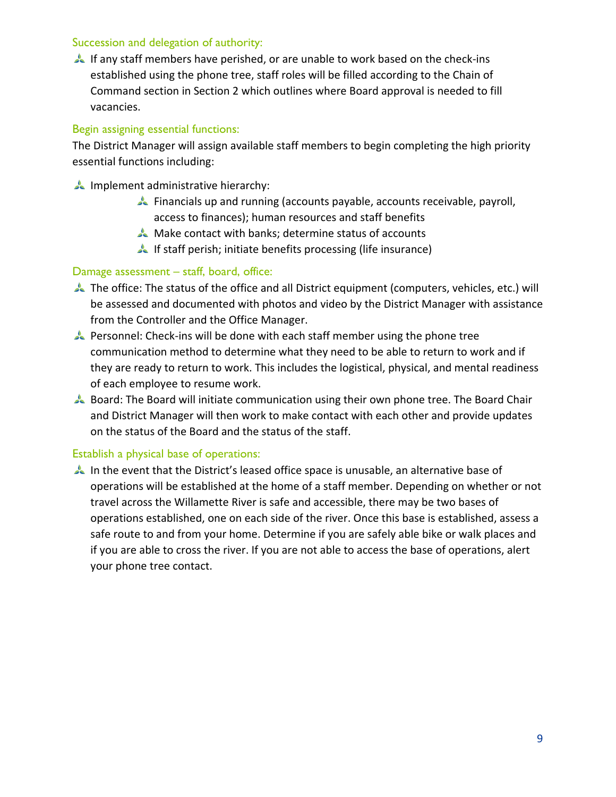#### Succession and delegation of authority:

If any staff members have perished, or are unable to work based on the check-ins established using the phone tree, staff roles will be filled according to the Chain of Command section in Section 2 which outlines where Board approval is needed to fill vacancies.

#### Begin assigning essential functions:

The District Manager will assign available staff members to begin completing the high priority essential functions including:

- Implement administrative hierarchy:
	- Financials up and running (accounts payable, accounts receivable, payroll, access to finances); human resources and staff benefits
	- Make contact with banks; determine status of accounts
	- If staff perish; initiate benefits processing (life insurance)

#### Damage assessment – staff, board, office:

- The office: The status of the office and all District equipment (computers, vehicles, etc.) will be assessed and documented with photos and video by the District Manager with assistance from the Controller and the Office Manager.
- Personnel: Check-ins will be done with each staff member using the phone tree communication method to determine what they need to be able to return to work and if they are ready to return to work. This includes the logistical, physical, and mental readiness of each employee to resume work.
- Board: The Board will initiate communication using their own phone tree. The Board Chair and District Manager will then work to make contact with each other and provide updates on the status of the Board and the status of the staff.

#### Establish a physical base of operations:

In the event that the District's leased office space is unusable, an alternative base of operations will be established at the home of a staff member. Depending on whether or not travel across the Willamette River is safe and accessible, there may be two bases of operations established, one on each side of the river. Once this base is established, assess a safe route to and from your home. Determine if you are safely able bike or walk places and if you are able to cross the river. If you are not able to access the base of operations, alert your phone tree contact.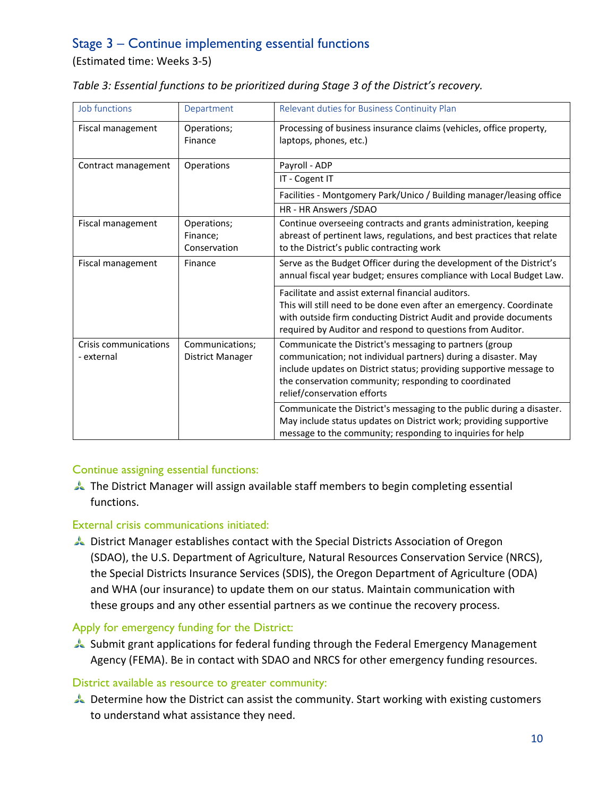### <span id="page-10-0"></span>Stage 3 – Continue implementing essential functions

(Estimated time: Weeks 3-5)

| Table 3: Essential functions to be prioritized during Stage 3 of the District's recovery. |  |  |  |
|-------------------------------------------------------------------------------------------|--|--|--|
|-------------------------------------------------------------------------------------------|--|--|--|

| Job functions                       | Department                              | Relevant duties for Business Continuity Plan                                                                                                                                                                                                                                             |
|-------------------------------------|-----------------------------------------|------------------------------------------------------------------------------------------------------------------------------------------------------------------------------------------------------------------------------------------------------------------------------------------|
| Fiscal management                   | Operations;<br>Finance                  | Processing of business insurance claims (vehicles, office property,<br>laptops, phones, etc.)                                                                                                                                                                                            |
| Contract management                 | Operations                              | Payroll - ADP                                                                                                                                                                                                                                                                            |
|                                     |                                         | IT - Cogent IT                                                                                                                                                                                                                                                                           |
|                                     |                                         | Facilities - Montgomery Park/Unico / Building manager/leasing office                                                                                                                                                                                                                     |
|                                     |                                         | HR - HR Answers /SDAO                                                                                                                                                                                                                                                                    |
| Fiscal management                   | Operations;<br>Finance;<br>Conservation | Continue overseeing contracts and grants administration, keeping<br>abreast of pertinent laws, regulations, and best practices that relate<br>to the District's public contracting work                                                                                                  |
| Fiscal management                   | Finance                                 | Serve as the Budget Officer during the development of the District's<br>annual fiscal year budget; ensures compliance with Local Budget Law.                                                                                                                                             |
|                                     |                                         | Facilitate and assist external financial auditors.<br>This will still need to be done even after an emergency. Coordinate<br>with outside firm conducting District Audit and provide documents<br>required by Auditor and respond to questions from Auditor.                             |
| Crisis communications<br>- external | Communications;<br>District Manager     | Communicate the District's messaging to partners (group<br>communication; not individual partners) during a disaster. May<br>include updates on District status; providing supportive message to<br>the conservation community; responding to coordinated<br>relief/conservation efforts |
|                                     |                                         | Communicate the District's messaging to the public during a disaster.<br>May include status updates on District work; providing supportive<br>message to the community; responding to inquiries for help                                                                                 |

#### Continue assigning essential functions:

The District Manager will assign available staff members to begin completing essential functions.

#### External crisis communications initiated:

District Manager establishes contact with the Special Districts Association of Oregon (SDAO), the U.S. Department of Agriculture, Natural Resources Conservation Service (NRCS), the Special Districts Insurance Services (SDIS), the Oregon Department of Agriculture (ODA) and WHA (our insurance) to update them on our status. Maintain communication with these groups and any other essential partners as we continue the recovery process.

#### Apply for emergency funding for the District:

Submit grant applications for federal funding through the Federal Emergency Management Agency (FEMA). Be in contact with SDAO and NRCS for other emergency funding resources.

#### District available as resource to greater community:

Determine how the District can assist the community. Start working with existing customers to understand what assistance they need.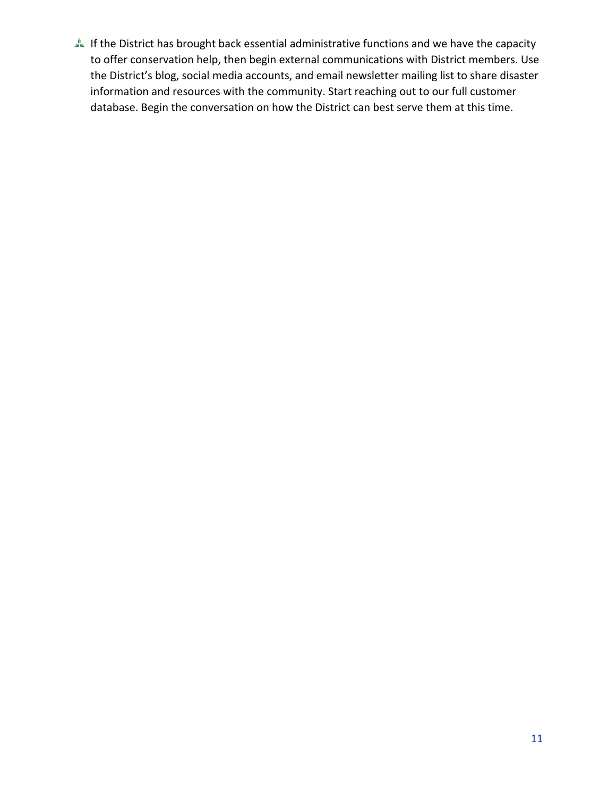If the District has brought back essential administrative functions and we have the capacity to offer conservation help, then begin external communications with District members. Use the District's blog, social media accounts, and email newsletter mailing list to share disaster information and resources with the community. Start reaching out to our full customer database. Begin the conversation on how the District can best serve them at this time.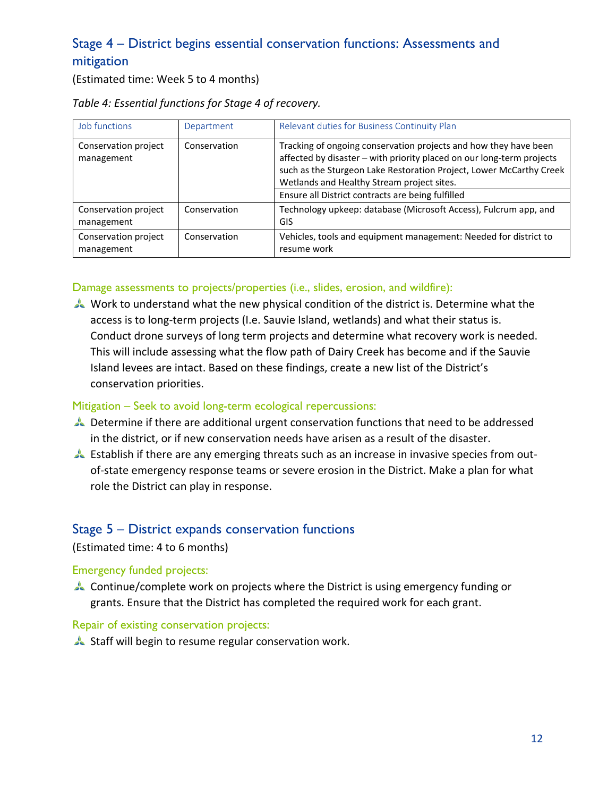### <span id="page-12-0"></span>Stage 4 – District begins essential conservation functions: Assessments and mitigation

(Estimated time: Week 5 to 4 months)

| Job functions                      | Department   | Relevant duties for Business Continuity Plan                                                                                                                                                                                                                                                                        |
|------------------------------------|--------------|---------------------------------------------------------------------------------------------------------------------------------------------------------------------------------------------------------------------------------------------------------------------------------------------------------------------|
| Conservation project<br>management | Conservation | Tracking of ongoing conservation projects and how they have been<br>affected by disaster - with priority placed on our long-term projects<br>such as the Sturgeon Lake Restoration Project, Lower McCarthy Creek<br>Wetlands and Healthy Stream project sites.<br>Ensure all District contracts are being fulfilled |
|                                    |              |                                                                                                                                                                                                                                                                                                                     |
| Conservation project<br>management | Conservation | Technology upkeep: database (Microsoft Access), Fulcrum app, and<br>GIS                                                                                                                                                                                                                                             |
| Conservation project<br>management | Conservation | Vehicles, tools and equipment management: Needed for district to<br>resume work                                                                                                                                                                                                                                     |

#### *Table 4: Essential functions for Stage 4 of recovery.*

#### Damage assessments to projects/properties (i.e., slides, erosion, and wildfire):

Work to understand what the new physical condition of the district is. Determine what the access is to long-term projects (I.e. Sauvie Island, wetlands) and what their status is. Conduct drone surveys of long term projects and determine what recovery work is needed. This will include assessing what the flow path of Dairy Creek has become and if the Sauvie Island levees are intact. Based on these findings, create a new list of the District's conservation priorities.

#### Mitigation – Seek to avoid long-term ecological repercussions:

- Determine if there are additional urgent conservation functions that need to be addressed in the district, or if new conservation needs have arisen as a result of the disaster.
- Establish if there are any emerging threats such as an increase in invasive species from outof-state emergency response teams or severe erosion in the District. Make a plan for what role the District can play in response.

### <span id="page-12-1"></span>Stage 5 – District expands conservation functions

#### (Estimated time: 4 to 6 months)

#### Emergency funded projects:

Continue/complete work on projects where the District is using emergency funding or grants. Ensure that the District has completed the required work for each grant.

#### Repair of existing conservation projects:

Staff will begin to resume regular conservation work.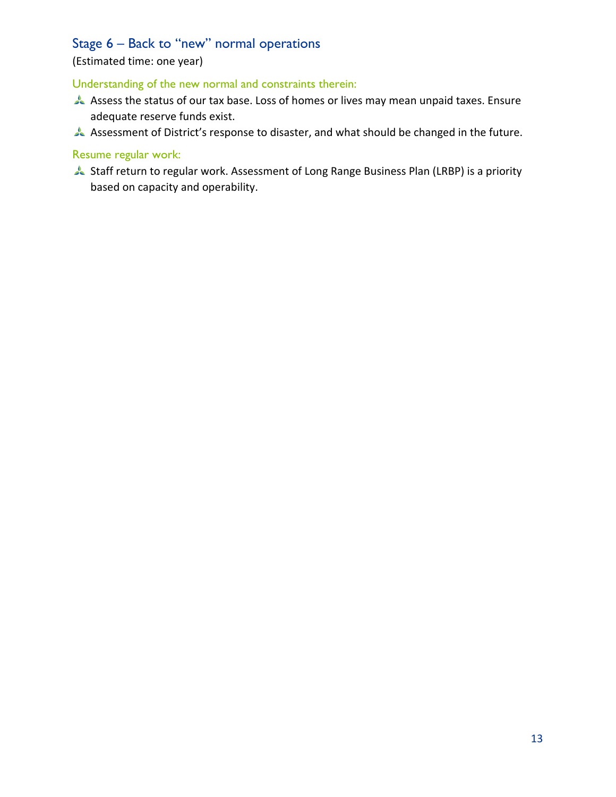### <span id="page-13-0"></span>Stage 6 – Back to "new" normal operations

### (Estimated time: one year)

#### Understanding of the new normal and constraints therein:

- Assess the status of our tax base. Loss of homes or lives may mean unpaid taxes. Ensure adequate reserve funds exist.
- Assessment of District's response to disaster, and what should be changed in the future.

#### Resume regular work:

Staff return to regular work. Assessment of Long Range Business Plan (LRBP) is a priority based on capacity and operability.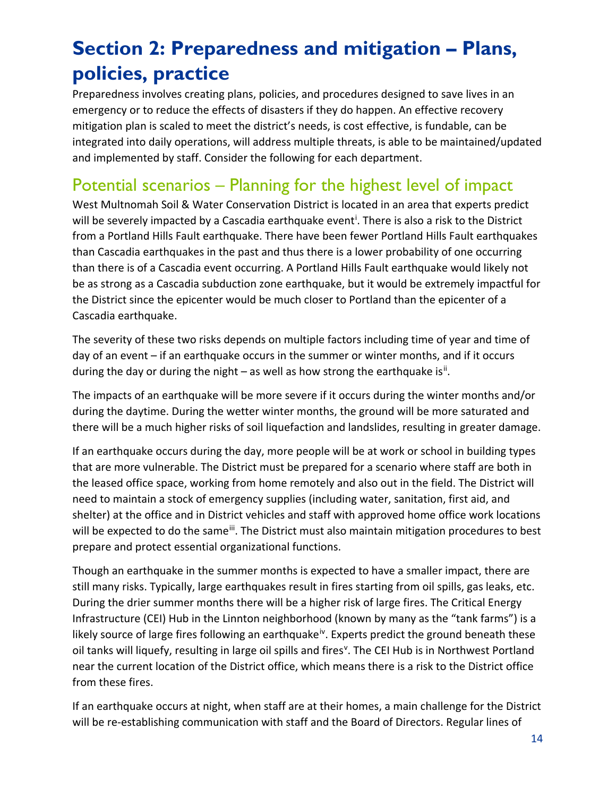# <span id="page-14-0"></span>**Section 2: Preparedness and mitigation – Plans, policies, practice**

Preparedness involves creating plans, policies, and procedures designed to save lives in an emergency or to reduce the effects of disasters if they do happen. An effective recovery mitigation plan is scaled to meet the district's needs, is cost effective, is fundable, can be integrated into daily operations, will address multiple threats, is able to be maintained/updated and implemented by staff. Consider the following for each department.

### <span id="page-14-1"></span>Potential scenarios – Planning for the highest level of impact

West Multnomah Soil & Water Conservation District is located in an area that experts predict w[i](#page-16-1)ll be severely impacted by a Cascadia earthquake event<sup>i</sup>. There is also a risk to the District from a Portland Hills Fault earthquake. There have been fewer Portland Hills Fault earthquakes than Cascadia earthquakes in the past and thus there is a lower probability of one occurring than there is of a Cascadia event occurring. A Portland Hills Fault earthquake would likely not be as strong as a Cascadia subduction zone earthquake, but it would be extremely impactful for the District since the epicenter would be much closer to Portland than the epicenter of a Cascadia earthquake.

The severity of these two risks depends on multiple factors including time of year and time of day of an event – if an earthquake occurs in the summer or winter months, and if it occurs during the day or during the night  $-$  as well as how strong the earthquake is<sup>[ii](#page-16-2)</sup>.

The impacts of an earthquake will be more severe if it occurs during the winter months and/or during the daytime. During the wetter winter months, the ground will be more saturated and there will be a much higher risks of soil liquefaction and landslides, resulting in greater damage.

If an earthquake occurs during the day, more people will be at work or school in building types that are more vulnerable. The District must be prepared for a scenario where staff are both in the leased office space, working from home remotely and also out in the field. The District will need to maintain a stock of emergency supplies (including water, sanitation, first aid, and shelter) at the office and in District vehicles and staff with approved home office work locations will be expected to do the same<sup>iii</sup>. The District must also maintain mitigation procedures to best prepare and protect essential organizational functions.

Though an earthquake in the summer months is expected to have a smaller impact, there are still many risks. Typically, large earthquakes result in fires starting from oil spills, gas leaks, etc. During the drier summer months there will be a higher risk of large fires. The Critical Energy Infrastructure (CEI) Hub in the Linnton neighborhood (known by many as the "tank farms") is a likely source of large fires following an earthquake<sup>[iv](#page-16-4)</sup>. Experts predict the ground beneath these oil tanks will liquefy, resulting in large oil spills and fires<sup>[v](#page-16-5)</sup>. The CEI Hub is in Northwest Portland near the current location of the District office, which means there is a risk to the District office from these fires.

If an earthquake occurs at night, when staff are at their homes, a main challenge for the District will be re-establishing communication with staff and the Board of Directors. Regular lines of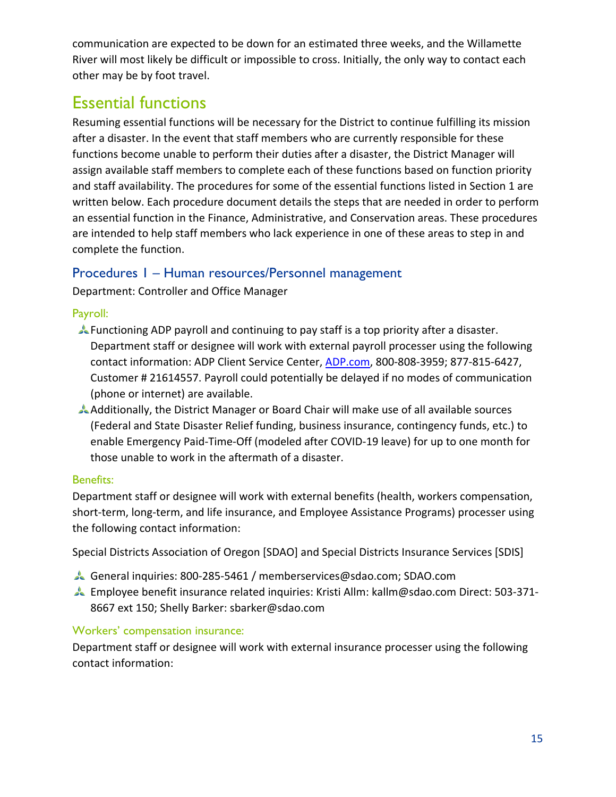communication are expected to be down for an estimated three weeks, and the Willamette River will most likely be difficult or impossible to cross. Initially, the only way to contact each other may be by foot travel.

### <span id="page-15-0"></span>Essential functions

Resuming essential functions will be necessary for the District to continue fulfilling its mission after a disaster. In the event that staff members who are currently responsible for these functions become unable to perform their duties after a disaster, the District Manager will assign available staff members to complete each of these functions based on function priority and staff availability. The procedures for some of the essential functions listed in Section 1 are written below. Each procedure document details the steps that are needed in order to perform an essential function in the Finance, Administrative, and Conservation areas. These procedures are intended to help staff members who lack experience in one of these areas to step in and complete the function.

### <span id="page-15-1"></span>Procedures 1 – Human resources/Personnel management

Department: Controller and Office Manager

#### Payroll:

- Functioning ADP payroll and continuing to pay staff is a top priority after a disaster. Department staff or designee will work with external payroll processer using the following contact information: ADP Client Service Center, [ADP.com,](file://WM2/shared/Personnel%20(staff%20and%20directors)/Safety/Disaster-Emergency%20Planning/Business%20Continuity%20Plan/Plan%20Drafts/adp.com) 800-808-3959; 877-815-6427, Customer # 21614557. Payroll could potentially be delayed if no modes of communication (phone or internet) are available.
- Additionally, the District Manager or Board Chair will make use of all available sources (Federal and State Disaster Relief funding, business insurance, contingency funds, etc.) to enable Emergency Paid-Time-Off (modeled after COVID-19 leave) for up to one month for those unable to work in the aftermath of a disaster.

### Benefits:

Department staff or designee will work with external benefits (health, workers compensation, short-term, long-term, and life insurance, and Employee Assistance Programs) processer using the following contact information:

Special Districts Association of Oregon [SDAO] and Special Districts Insurance Services [SDIS]

- General inquiries: 800-285-5461 / memberservices@sdao.com; SDAO.com
- Employee benefit insurance related inquiries: Kristi Allm: kallm@sdao.com Direct: 503-371- 8667 ext 150; Shelly Barker: sbarker@sdao.com

### Workers' compensation insurance:

Department staff or designee will work with external insurance processer using the following contact information: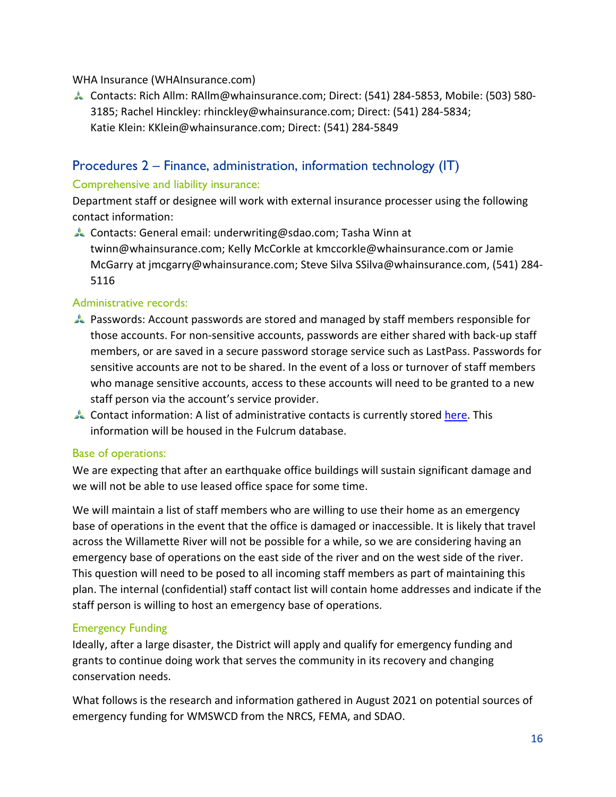#### WHA Insurance (WHAInsurance.com)

<span id="page-16-2"></span>Contacts: Rich Allm: RAllm@whainsurance.com; Direct: (541) 284-5853, Mobile: (503) 580- 3185; Rachel Hinckley: rhinckley@whainsurance.com; Direct: (541) 284-5834; Katie Klein: KKlein@whainsurance.com; Direct: (541) 284-5849

#### <span id="page-16-3"></span><span id="page-16-0"></span>Procedures 2 – Finance, administration, information technology (IT)

#### <span id="page-16-4"></span>Comprehensive and liability insurance:

Department staff or designee will work with external insurance processer using the following contact information:

<span id="page-16-5"></span>Contacts: General email: underwriting@sdao.com; Tasha Winn at twinn@whainsurance.com; Kelly McCorkle at kmccorkle@whainsurance.com or Jamie McGarry at jmcgarry@whainsurance.com; Steve Silva SSilva@whainsurance.com, (541) 284- 5116

#### Administrative records:

- Passwords: Account passwords are stored and managed by staff members responsible for those accounts. For non-sensitive accounts, passwords are either shared with back-up staff members, or are saved in a secure password storage service such as LastPass. Passwords for sensitive accounts are not to be shared. In the event of a loss or turnover of staff members who manage sensitive accounts, access to these accounts will need to be granted to a new staff person via the account's service provider.
- Contact information: A list of administrative contacts is currently stored [here.](file://WM2/shared/Administrative/Administrative%20Binder/Tab%2012-%20Contact%20Info%20for%20Admin%20and%20Communications/Administrative%20and%20Communications%20Contact%20and%20Account%20Information.xlsx) This information will be housed in the Fulcrum database.

#### Base of operations:

We are expecting that after an earthquake office buildings will sustain significant damage and we will not be able to use leased office space for some time.

We will maintain a list of staff members who are willing to use their home as an emergency base of operations in the event that the office is damaged or inaccessible. It is likely that travel across the Willamette River will not be possible for a while, so we are considering having an emergency base of operations on the east side of the river and on the west side of the river. This question will need to be posed to all incoming staff members as part of maintaining this plan. The internal (confidential) staff contact list will contain home addresses and indicate if the staff person is willing to host an emergency base of operations.

#### Emergency Funding

<span id="page-16-1"></span>Ideally, after a large disaster, the District will apply and qualify for emergency funding and grants to continue doing work that serves the community in its recovery and changing conservation needs.

What follows is the research and information gathered in August 2021 on potential sources of emergency funding for WMSWCD from the NRCS, FEMA, and SDAO.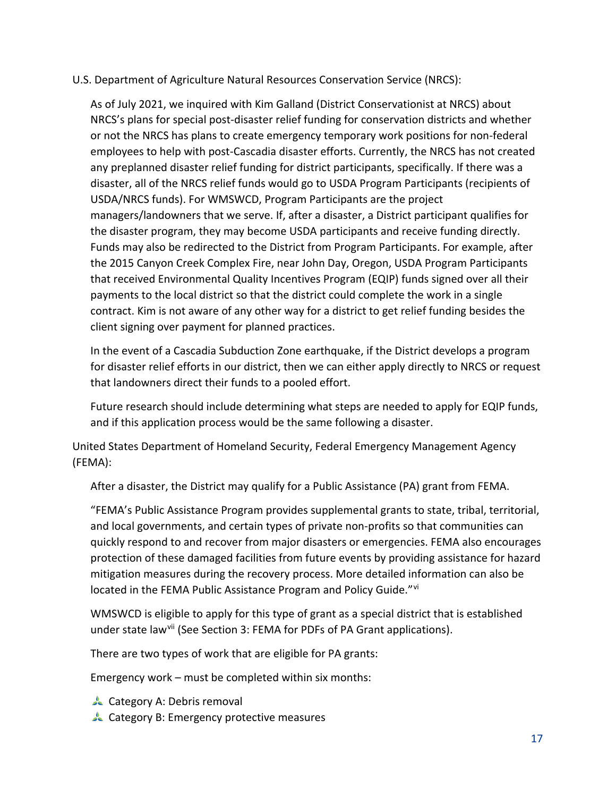#### U.S. Department of Agriculture Natural Resources Conservation Service (NRCS):

As of July 2021, we inquired with Kim Galland (District Conservationist at NRCS) about NRCS's plans for special post-disaster relief funding for conservation districts and whether or not the NRCS has plans to create emergency temporary work positions for non-federal employees to help with post-Cascadia disaster efforts. Currently, the NRCS has not created any preplanned disaster relief funding for district participants, specifically. If there was a disaster, all of the NRCS relief funds would go to USDA Program Participants (recipients of USDA/NRCS funds). For WMSWCD, Program Participants are the project managers/landowners that we serve. If, after a disaster, a District participant qualifies for the disaster program, they may become USDA participants and receive funding directly. Funds may also be redirected to the District from Program Participants. For example, after the 2015 Canyon Creek Complex Fire, near John Day, Oregon, USDA Program Participants that received Environmental Quality Incentives Program (EQIP) funds signed over all their payments to the local district so that the district could complete the work in a single contract. Kim is not aware of any other way for a district to get relief funding besides the client signing over payment for planned practices.

In the event of a Cascadia Subduction Zone earthquake, if the District develops a program for disaster relief efforts in our district, then we can either apply directly to NRCS or request that landowners direct their funds to a pooled effort.

Future research should include determining what steps are needed to apply for EQIP funds, and if this application process would be the same following a disaster.

[United States Department of Homeland Security,](https://en.wikipedia.org/wiki/United_States_Department_of_Homeland_Security) Federal Emergency Management Agency (FEMA):

After a disaster, the District may qualify for a Public Assistance (PA) grant from FEMA.

"FEMA's Public Assistance Program provides supplemental grants to state, tribal, territorial, and local governments, and certain types of private non-profits so that communities can quickly respond to and recover from major disasters or emergencies. FEMA also encourages protection of these damaged facilities from future events by providing assistance for hazard mitigation measures during the recovery process. More detailed information can also be located in the FEMA Public Assistance Program and Policy Guide."<sup>[vi](#page-32-1)</sup>

WMSWCD is eligible to apply for this type of grant as a special district that is established under state law<sup>vii</sup> (See Section 3: FEMA for PDFs of PA Grant applications).

There are two types of work that are eligible for PA grants:

Emergency work – must be completed within six months:

- **Category A: Debris removal**
- **Category B: Emergency protective measures**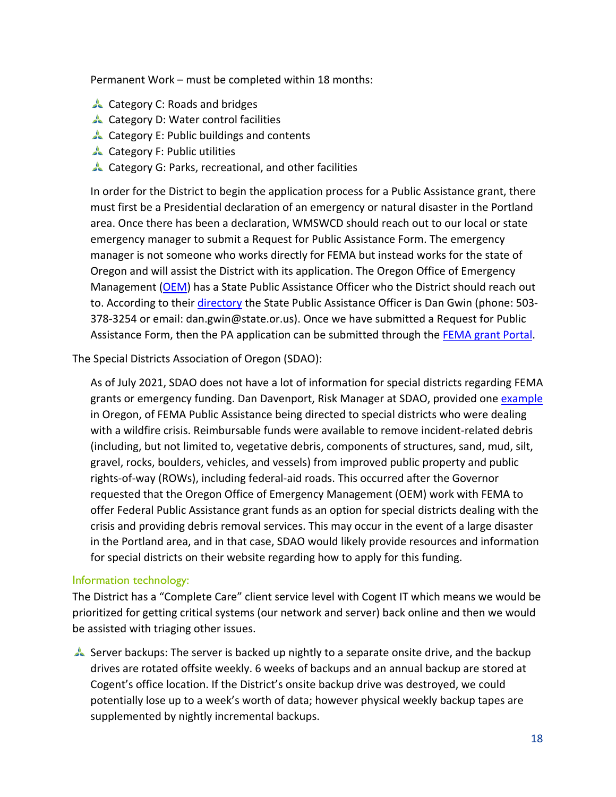Permanent Work – must be completed within 18 months:

- **Category C: Roads and bridges**
- **Category D: Water control facilities**
- Category E: Public buildings and contents
- **Category F: Public utilities**
- Category G: Parks, recreational, and other facilities

In order for the District to begin the application process for a Public Assistance grant, there must first be a Presidential declaration of an emergency or natural disaster in the Portland area. Once there has been a declaration, WMSWCD should reach out to our local or state emergency manager to submit a Request for Public Assistance Form. The emergency manager is not someone who works directly for FEMA but instead works for the state of Oregon and will assist the District with its application. The Oregon Office of Emergency Management [\(OEM\)](https://www.oregon.gov/oem/emresources/disasterassist/Pages/Public-Assistance.aspx) has a State Public Assistance Officer who the District should reach out to. According to their *directory* the State Public Assistance Officer is Dan Gwin (phone: 503-378-3254 or email: dan.gwin@state.or.us). Once we have submitted a Request for Public Assistance Form, then the PA application can be submitted through the FEMA [grant Portal.](https://grantee.fema.gov/)

The Special Districts Association of Oregon (SDAO):

As of July 2021, SDAO does not have a lot of information for special districts regarding FEMA grants or emergency funding. Dan Davenport, Risk Manager at SDAO, provided one [example](https://www.sdao.com/fema-public-assistance-for-wildfire-crisis-debris-removal-guidance-and-debris-removal-private-property) in Oregon, of FEMA Public Assistance being directed to special districts who were dealing with a wildfire crisis. Reimbursable funds were available to remove incident-related debris (including, but not limited to, vegetative debris, components of structures, sand, mud, silt, gravel, rocks, boulders, vehicles, and vessels) from improved public property and public rights-of-way (ROWs), including federal-aid roads. This occurred after the Governor requested that the Oregon Office of Emergency Management (OEM) work with FEMA to offer Federal Public Assistance grant funds as an option for special districts dealing with the crisis and providing debris removal services. This may occur in the event of a large disaster in the Portland area, and in that case, SDAO would likely provide resources and information for special districts on their website regarding how to apply for this funding.

#### Information technology:

The District has a "Complete Care" client service level with Cogent IT which means we would be prioritized for getting critical systems (our network and server) back online and then we would be assisted with triaging other issues.

Server backups: The server is backed up nightly to a separate onsite drive, and the backup drives are rotated offsite weekly. 6 weeks of backups and an annual backup are stored at Cogent's office location. If the District's onsite backup drive was destroyed, we could potentially lose up to a week's worth of data; however physical weekly backup tapes are supplemented by nightly incremental backups.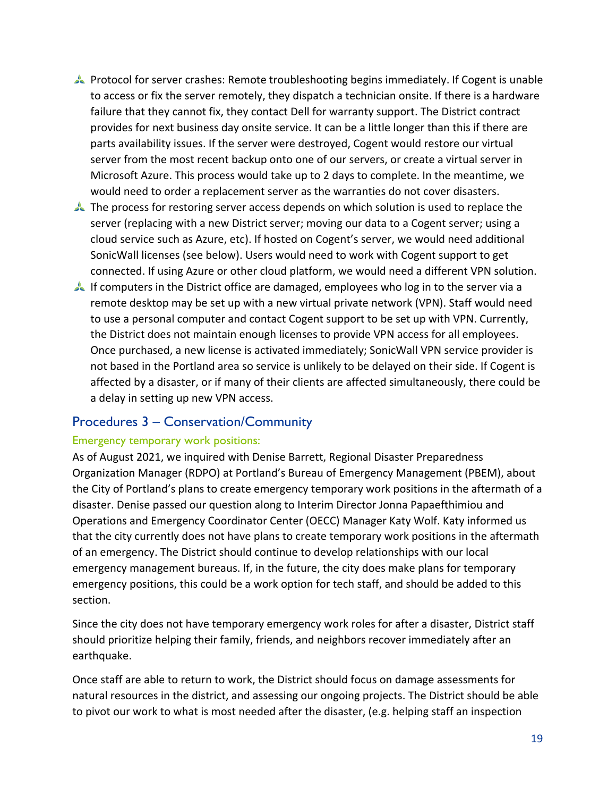- Protocol for server crashes: Remote troubleshooting begins immediately. If Cogent is unable to access or fix the server remotely, they dispatch a technician onsite. If there is a hardware failure that they cannot fix, they contact Dell for warranty support. The District contract provides for next business day onsite service. It can be a little longer than this if there are parts availability issues. If the server were destroyed, Cogent would restore our virtual server from the most recent backup onto one of our servers, or create a virtual server in Microsoft Azure. This process would take up to 2 days to complete. In the meantime, we would need to order a replacement server as the warranties do not cover disasters.
- The process for restoring server access depends on which solution is used to replace the server (replacing with a new District server; moving our data to a Cogent server; using a cloud service such as Azure, etc). If hosted on Cogent's server, we would need additional SonicWall licenses (see below). Users would need to work with Cogent support to get connected. If using Azure or other cloud platform, we would need a different VPN solution.
- If computers in the District office are damaged, employees who log in to the server via a remote desktop may be set up with a new virtual private network (VPN). Staff would need to use a personal computer and contact Cogent support to be set up with VPN. Currently, the District does not maintain enough licenses to provide VPN access for all employees. Once purchased, a new license is activated immediately; SonicWall VPN service provider is not based in the Portland area so service is unlikely to be delayed on their side. If Cogent is affected by a disaster, or if many of their clients are affected simultaneously, there could be a delay in setting up new VPN access.

#### <span id="page-19-0"></span>Procedures 3 – Conservation/Community

#### Emergency temporary work positions:

As of August 2021, we inquired with Denise Barrett, Regional Disaster Preparedness Organization Manager (RDPO) at Portland's Bureau of Emergency Management (PBEM), about the City of Portland's plans to create emergency temporary work positions in the aftermath of a disaster. Denise passed our question along to Interim Director Jonna Papaefthimiou and Operations and Emergency Coordinator Center (OECC) Manager Katy Wolf. Katy informed us that the city currently does not have plans to create temporary work positions in the aftermath of an emergency. The District should continue to develop relationships with our local emergency management bureaus. If, in the future, the city does make plans for temporary emergency positions, this could be a work option for tech staff, and should be added to this section.

Since the city does not have temporary emergency work roles for after a disaster, District staff should prioritize helping their family, friends, and neighbors recover immediately after an earthquake.

Once staff are able to return to work, the District should focus on damage assessments for natural resources in the district, and assessing our ongoing projects. The District should be able to pivot our work to what is most needed after the disaster, (e.g. helping staff an inspection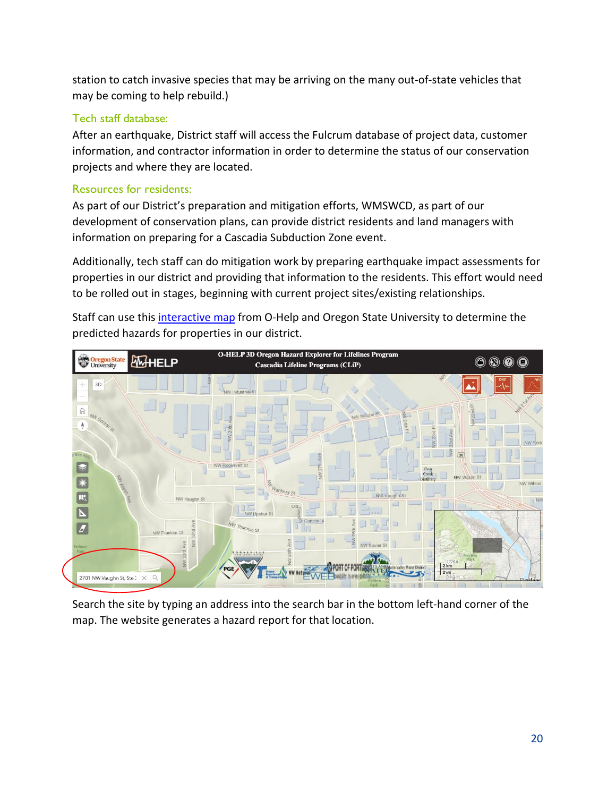station to catch invasive species that may be arriving on the many out-of-state vehicles that may be coming to help rebuild.)

#### Tech staff database:

After an earthquake, District staff will access the Fulcrum database of project data, customer information, and contractor information in order to determine the status of our conservation projects and where they are located.

### Resources for residents:

As part of our District's preparation and mitigation efforts, WMSWCD, as part of our development of conservation plans, can provide district residents and land managers with information on preparing for a Cascadia Subduction Zone event.

Additionally, tech staff can do mitigation work by preparing earthquake impact assessments for properties in our district and providing that information to the residents. This effort would need to be rolled out in stages, beginning with current project sites/existing relationships.

Staff can use this [interactive map](https://ohelp.oregonstate.edu/) from O-Help and Oregon State University to determine the predicted hazards for properties in our district.



Search the site by typing an address into the search bar in the bottom left-hand corner of the map. The website generates a hazard report for that location.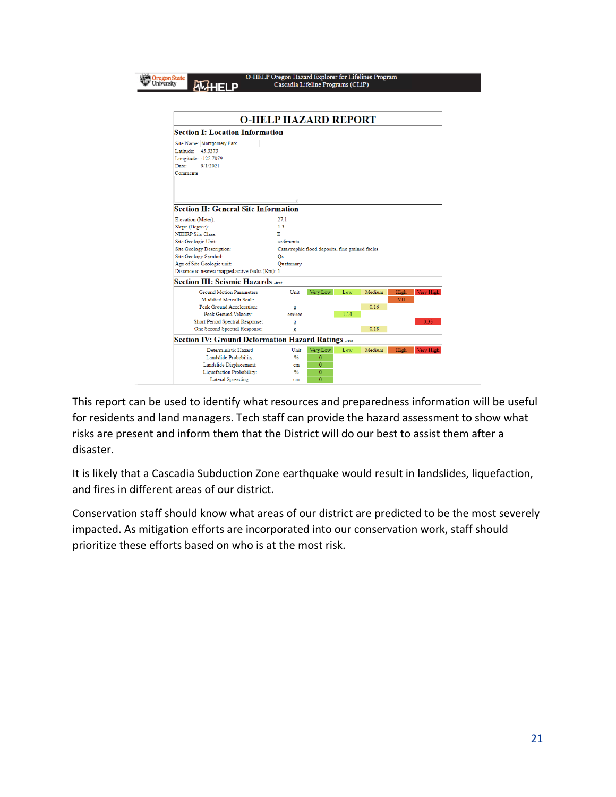|                                                     | <b>O-HELP HAZARD REPORT</b> |                                                  |      |        |      |           |
|-----------------------------------------------------|-----------------------------|--------------------------------------------------|------|--------|------|-----------|
| <b>Section I: Location Information</b>              |                             |                                                  |      |        |      |           |
| Site Name: Montgomery Park                          |                             |                                                  |      |        |      |           |
| Latitude:<br>45.5375                                |                             |                                                  |      |        |      |           |
| Longitude: -122.7079                                |                             |                                                  |      |        |      |           |
| Date:<br>9/1/2021                                   |                             |                                                  |      |        |      |           |
| Comments                                            |                             |                                                  |      |        |      |           |
|                                                     |                             |                                                  |      |        |      |           |
|                                                     |                             |                                                  |      |        |      |           |
|                                                     |                             |                                                  |      |        |      |           |
| <b>Section II: General Site Information</b>         |                             |                                                  |      |        |      |           |
| Elevation (Meter):                                  | 27.1                        |                                                  |      |        |      |           |
| Slope (Degree):                                     | 1.3                         |                                                  |      |        |      |           |
| <b>NEHRP Site Class:</b>                            | Е                           |                                                  |      |        |      |           |
| Site Geologic Unit:                                 | sediments                   |                                                  |      |        |      |           |
| <b>Site Geology Description:</b>                    |                             | Catastrophic flood deposits, fine grained facies |      |        |      |           |
| Site Geology Symbol:                                | Os                          |                                                  |      |        |      |           |
| Age of Site Geologic unit:                          | Quaternary                  |                                                  |      |        |      |           |
| Distance to nearest mapped active faults (Km): 1    |                             |                                                  |      |        |      |           |
| <b>Section III: Seismic Hazards</b> Jest            |                             |                                                  |      |        |      |           |
| <b>Ground Motion Parameters</b>                     | Unit                        | Very Low                                         | Low  | Medium | High | Very High |
| Modified Mercalli Scale:                            |                             |                                                  |      |        | VII  |           |
| Peak Ground Acceleration:                           | g                           |                                                  |      | 0.16   |      |           |
| Peak Ground Velocity:                               | cm/sec                      |                                                  | 17.4 |        |      |           |
| Short Period Spectral Response:                     | g                           |                                                  |      |        |      | 0.33      |
| One Second Spectral Response:                       | g                           |                                                  |      | 0.18   |      |           |
| Section IV: Ground Deformation Hazard Ratings Ansat |                             |                                                  |      |        |      |           |
| Deterministic Hazard                                | Unit                        | Very Low                                         | Low  | Medium | High | Very High |
| Landslide Probability:                              | $\frac{0}{2}$               | $\overline{0}$                                   |      |        |      |           |
| Landslide Displacement:                             | cm                          | 0                                                |      |        |      |           |
| Liquefaction Probability:                           | $\frac{0}{2}$               | $\overline{0}$                                   |      |        |      |           |
| Lateral Spreading:                                  | cm                          | 0                                                |      |        |      |           |

O-HELP Oregon Hazard Explorer for Lifelines Program

This report can be used to identify what resources and preparedness information will be useful for residents and land managers. Tech staff can provide the hazard assessment to show what risks are present and inform them that the District will do our best to assist them after a disaster.

It is likely that a Cascadia Subduction Zone earthquake would result in landslides, liquefaction, and fires in different areas of our district.

<span id="page-21-0"></span>Conservation staff should know what areas of our district are predicted to be the most severely impacted. As mitigation efforts are incorporated into our conservation work, staff should prioritize these efforts based on who is at the most risk.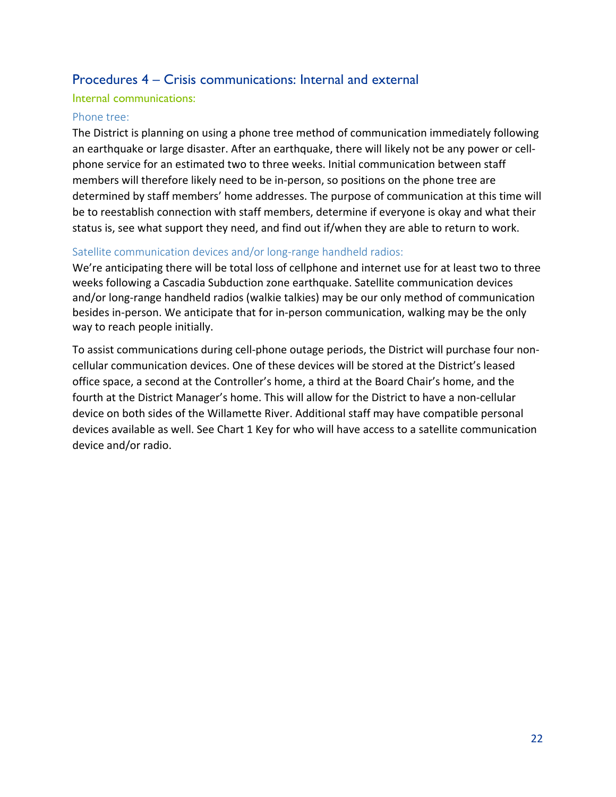### Procedures 4 – Crisis communications: Internal and external

#### Internal communications:

#### <span id="page-22-0"></span>Phone tree:

The District is planning on using a phone tree method of communication immediately following an earthquake or large disaster. After an earthquake, there will likely not be any power or cellphone service for an estimated two to three weeks. Initial communication between staff members will therefore likely need to be in-person, so positions on the phone tree are determined by staff members' home addresses. The purpose of communication at this time will be to reestablish connection with staff members, determine if everyone is okay and what their status is, see what support they need, and find out if/when they are able to return to work.

#### Satellite communication devices and/or long-range handheld radios:

We're anticipating there will be total loss of cellphone and internet use for at least two to three weeks following a Cascadia Subduction zone earthquake. Satellite communication devices and/or long-range handheld radios (walkie talkies) may be our only method of communication besides in-person. We anticipate that for in-person communication, walking may be the only way to reach people initially.

To assist communications during cell-phone outage periods, the District will purchase four noncellular communication devices. One of these devices will be stored at the District's leased office space, a second at the Controller's home, a third at the Board Chair's home, and the fourth at the District Manager's home. This will allow for the District to have a non-cellular device on both sides of the Willamette River. Additional staff may have compatible personal devices available as well. See Chart 1 Key for who will have access to a satellite communication device and/or radio.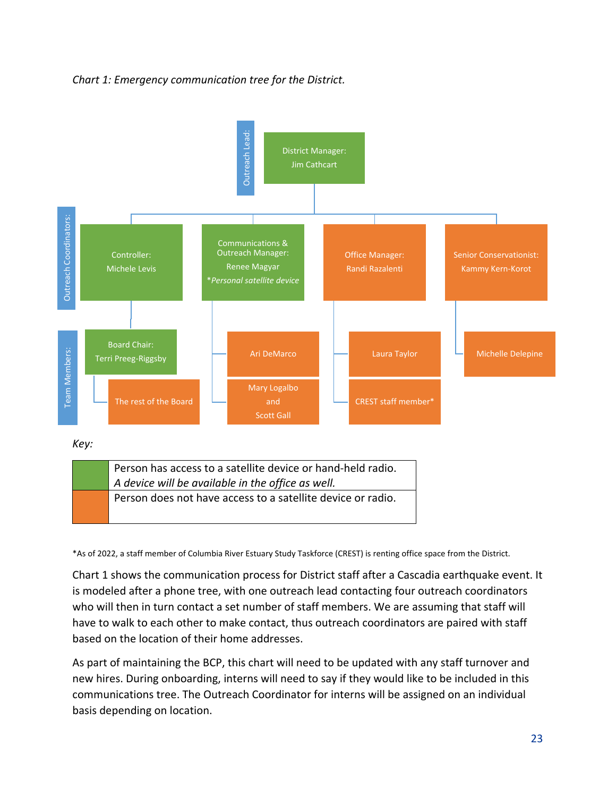#### *Chart 1: Emergency communication tree for the District.*



| Person has access to a satellite device or hand-held radio.<br>$\vert$ A device will be available in the office as well. |  |
|--------------------------------------------------------------------------------------------------------------------------|--|
| Person does not have access to a satellite device or radio.                                                              |  |

\*As of 2022, a staff member of Columbia River Estuary Study Taskforce (CREST) is renting office space from the District.

Chart 1 shows the communication process for District staff after a Cascadia earthquake event. It is modeled after a phone tree, with one outreach lead contacting four outreach coordinators who will then in turn contact a set number of staff members. We are assuming that staff will have to walk to each other to make contact, thus outreach coordinators are paired with staff based on the location of their home addresses.

As part of maintaining the BCP, this chart will need to be updated with any staff turnover and new hires. During onboarding, interns will need to say if they would like to be included in this communications tree. The Outreach Coordinator for interns will be assigned on an individual basis depending on location.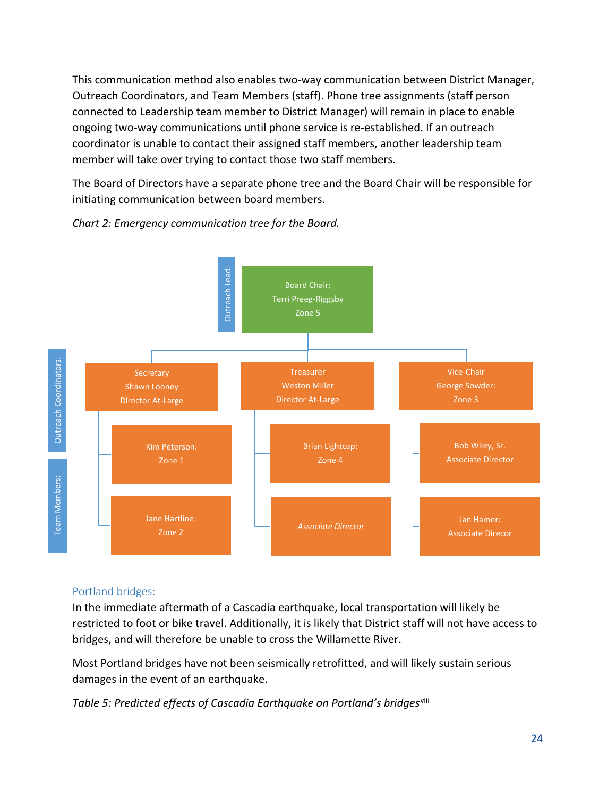This communication method also enables two-way communication between District Manager, Outreach Coordinators, and Team Members (staff). Phone tree assignments (staff person connected to Leadership team member to District Manager) will remain in place to enable ongoing two-way communications until phone service is re-established. If an outreach coordinator is unable to contact their assigned staff members, another leadership team member will take over trying to contact those two staff members.

The Board of Directors have a separate phone tree and the Board Chair will be responsible for initiating communication between board members.



*Chart 2: Emergency communication tree for the Board.*

#### Portland bridges:

In the immediate aftermath of a Cascadia earthquake, local transportation will likely be restricted to foot or bike travel. Additionally, it is likely that District staff will not have access to bridges, and will therefore be unable to cross the Willamette River.

Most Portland bridges have not been seismically retrofitted, and will likely sustain serious damages in the event of an earthquake.

*Table 5: Predicted effects of Cascadia Earthquake on Portland's bridges*[viii](#page-32-3)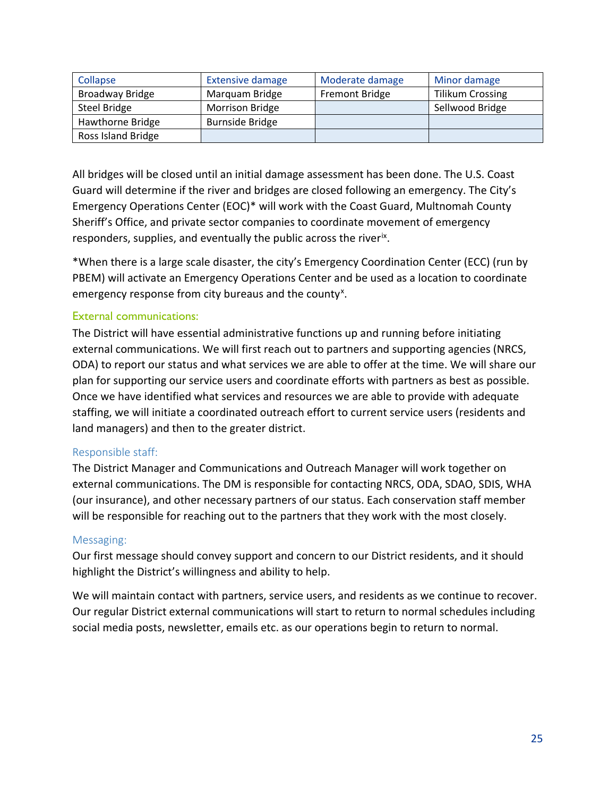| Collapse               | <b>Extensive damage</b> | Moderate damage       | Minor damage            |
|------------------------|-------------------------|-----------------------|-------------------------|
| <b>Broadway Bridge</b> | Marquam Bridge          | <b>Fremont Bridge</b> | <b>Tilikum Crossing</b> |
| Steel Bridge           | <b>Morrison Bridge</b>  |                       | Sellwood Bridge         |
| Hawthorne Bridge       | <b>Burnside Bridge</b>  |                       |                         |
| Ross Island Bridge     |                         |                       |                         |

All bridges will be closed until an initial damage assessment has been done. The U.S. Coast Guard will determine if the river and bridges are closed following an emergency. The City's Emergency Operations Center (EOC)\* will work with the Coast Guard, Multnomah County Sheriff's Office, and private sector companies to coordinate movement of emergency responders, supplies, and eventually the public across the river<sup>ix</sup>.

\*When there is a large scale disaster, the city's Emergency Coordination Center (ECC) (run by PBEM) will activate an Emergency Operations Center and be used as a location to coordinate emergency response from city bureaus and the county<sup>[x](#page-33-1)</sup>.

#### External communications:

The District will have essential administrative functions up and running before initiating external communications. We will first reach out to partners and supporting agencies (NRCS, ODA) to report our status and what services we are able to offer at the time. We will share our plan for supporting our service users and coordinate efforts with partners as best as possible. Once we have identified what services and resources we are able to provide with adequate staffing, we will initiate a coordinated outreach effort to current service users (residents and land managers) and then to the greater district.

#### Responsible staff:

The District Manager and Communications and Outreach Manager will work together on external communications. The DM is responsible for contacting NRCS, ODA, SDAO, SDIS, WHA (our insurance), and other necessary partners of our status. Each conservation staff member will be responsible for reaching out to the partners that they work with the most closely.

#### Messaging:

Our first message should convey support and concern to our District residents, and it should highlight the District's willingness and ability to help.

We will maintain contact with partners, service users, and residents as we continue to recover. Our regular District external communications will start to return to normal schedules including social media posts, newsletter, emails etc. as our operations begin to return to normal.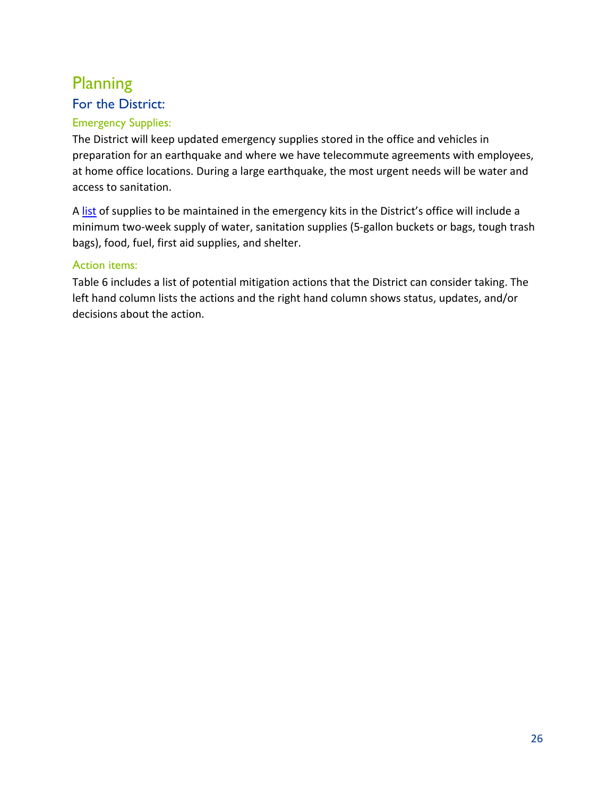# <span id="page-26-0"></span>Planning

# <span id="page-26-1"></span>For the District:

### Emergency Supplies:

The District will keep updated emergency supplies stored in the office and vehicles in preparation for an earthquake and where we have telecommute agreements with employees, at home office locations. During a large earthquake, the most urgent needs will be water and access to sanitation.

A [list](file://WM2/shared/Personnel%20(staff%20and%20directors)/Safety/Disaster-Emergency%20Planning/Supplies%20for%20office%20and%20vehicles/Emergency%20Supplies%20List%20for%20Office%20and%20Vehicles_V1.xlsx) of supplies to be maintained in the emergency kits in the District's office will include a minimum two-week supply of water, sanitation supplies (5-gallon buckets or bags, tough trash bags), food, fuel, first aid supplies, and shelter.

#### Action items:

Table 6 includes a list of potential mitigation actions that the District can consider taking. The left hand column lists the actions and the right hand column shows status, updates, and/or decisions about the action.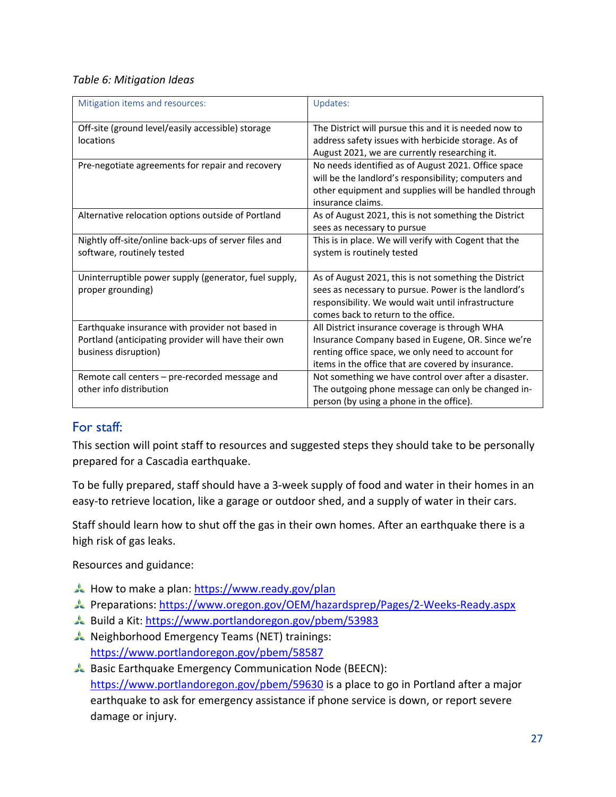#### *Table 6: Mitigation Ideas*

| Mitigation items and resources:                       | Updates:                                              |
|-------------------------------------------------------|-------------------------------------------------------|
| Off-site (ground level/easily accessible) storage     | The District will pursue this and it is needed now to |
| locations                                             | address safety issues with herbicide storage. As of   |
|                                                       | August 2021, we are currently researching it.         |
| Pre-negotiate agreements for repair and recovery      | No needs identified as of August 2021. Office space   |
|                                                       | will be the landlord's responsibility; computers and  |
|                                                       | other equipment and supplies will be handled through  |
|                                                       | insurance claims.                                     |
| Alternative relocation options outside of Portland    | As of August 2021, this is not something the District |
|                                                       | sees as necessary to pursue                           |
| Nightly off-site/online back-ups of server files and  | This is in place. We will verify with Cogent that the |
| software, routinely tested                            | system is routinely tested                            |
|                                                       |                                                       |
| Uninterruptible power supply (generator, fuel supply, | As of August 2021, this is not something the District |
| proper grounding)                                     | sees as necessary to pursue. Power is the landlord's  |
|                                                       | responsibility. We would wait until infrastructure    |
|                                                       | comes back to return to the office.                   |
| Earthquake insurance with provider not based in       | All District insurance coverage is through WHA        |
| Portland (anticipating provider will have their own   | Insurance Company based in Eugene, OR. Since we're    |
| business disruption)                                  | renting office space, we only need to account for     |
|                                                       | items in the office that are covered by insurance.    |
| Remote call centers - pre-recorded message and        | Not something we have control over after a disaster.  |
| other info distribution                               | The outgoing phone message can only be changed in-    |
|                                                       | person (by using a phone in the office).              |

#### <span id="page-27-0"></span>For staff:

This section will point staff to resources and suggested steps they should take to be personally prepared for a Cascadia earthquake.

To be fully prepared, staff should have a 3-week supply of food and water in their homes in an easy-to retrieve location, like a garage or outdoor shed, and a supply of water in their cars.

Staff should learn how to shut off the gas in their own homes. After an earthquake there is a high risk of gas leaks.

Resources and guidance:

- How to make a plan:<https://www.ready.gov/plan>
- Preparations:<https://www.oregon.gov/OEM/hazardsprep/Pages/2-Weeks-Ready.aspx>
- Build a Kit[: https://www.portlandoregon.gov/pbem/53983](https://www.portlandoregon.gov/pbem/53983)
- Neighborhood Emergency Teams (NET) trainings: <https://www.portlandoregon.gov/pbem/58587>
- Basic Earthquake Emergency Communication Node (BEECN): <https://www.portlandoregon.gov/pbem/59630> is a place to go in Portland after a major earthquake to ask for emergency assistance if phone service is down, or report severe damage or injury.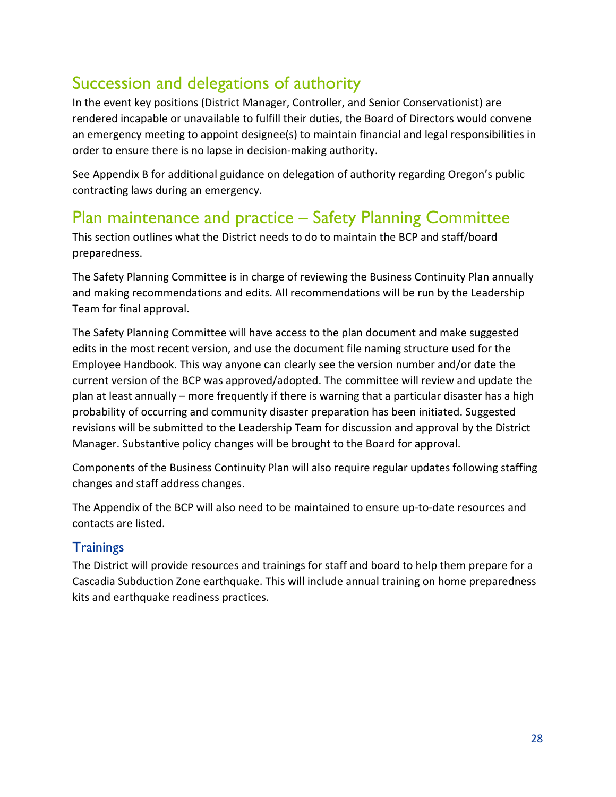# <span id="page-28-0"></span>Succession and delegations of authority

In the event key positions (District Manager, Controller, and Senior Conservationist) are rendered incapable or unavailable to fulfill their duties, the Board of Directors would convene an emergency meeting to appoint designee(s) to maintain financial and legal responsibilities in order to ensure there is no lapse in decision-making authority.

See Appendix B for additional guidance on delegation of authority regarding Oregon's public contracting laws during an emergency.

## <span id="page-28-1"></span>Plan maintenance and practice – Safety Planning Committee

This section outlines what the District needs to do to maintain the BCP and staff/board preparedness.

The Safety Planning Committee is in charge of reviewing the Business Continuity Plan annually and making recommendations and edits. All recommendations will be run by the Leadership Team for final approval.

The Safety Planning Committee will have access to the plan document and make suggested edits in the most recent version, and use the document file naming structure used for the Employee Handbook. This way anyone can clearly see the version number and/or date the current version of the BCP was approved/adopted. The committee will review and update the plan at least annually – more frequently if there is warning that a particular disaster has a high probability of occurring and community disaster preparation has been initiated. Suggested revisions will be submitted to the Leadership Team for discussion and approval by the District Manager. Substantive policy changes will be brought to the Board for approval.

Components of the Business Continuity Plan will also require regular updates following staffing changes and staff address changes.

The Appendix of the BCP will also need to be maintained to ensure up-to-date resources and contacts are listed.

### <span id="page-28-2"></span>**Trainings**

The District will provide resources and trainings for staff and board to help them prepare for a Cascadia Subduction Zone earthquake. This will include annual training on home preparedness kits and earthquake readiness practices.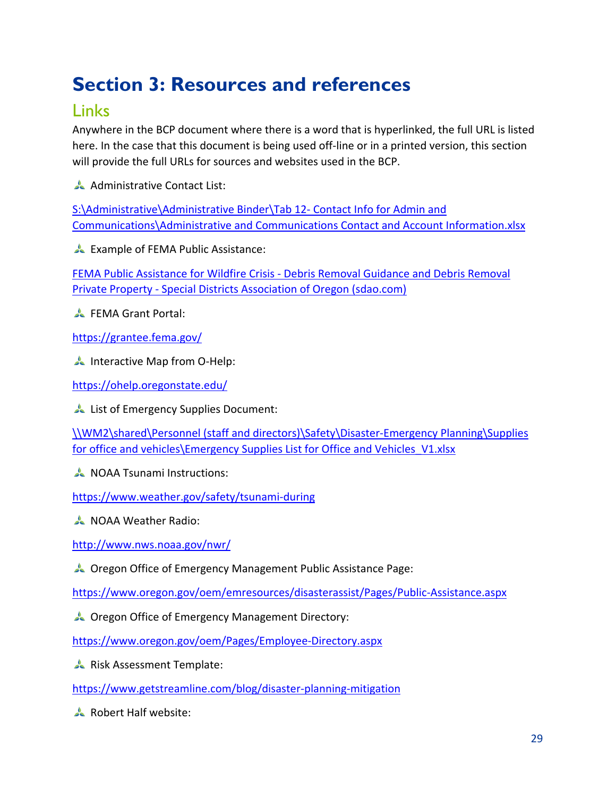# <span id="page-29-0"></span>**Section 3: Resources and references**

### <span id="page-29-1"></span>Links

Anywhere in the BCP document where there is a word that is hyperlinked, the full URL is listed here. In the case that this document is being used off-line or in a printed version, this section will provide the full URLs for sources and websites used in the BCP.

Administrative Contact List:

[S:\Administrative\Administrative Binder\Tab 12-](file://WM2/shared/Administrative/Administrative%20Binder/Tab%2012-%20Contact%20Info%20for%20Admin%20and%20Communications/Administrative%20and%20Communications%20Contact%20and%20Account%20Information.xlsx) Contact Info for Admin and [Communications\Administrative and Communications Contact and Account Information.xlsx](file://WM2/shared/Administrative/Administrative%20Binder/Tab%2012-%20Contact%20Info%20for%20Admin%20and%20Communications/Administrative%20and%20Communications%20Contact%20and%20Account%20Information.xlsx)

Example of FEMA Public Assistance:

FEMA Public Assistance for Wildfire Crisis - [Debris Removal Guidance and Debris Removal](https://www.sdao.com/fema-public-assistance-for-wildfire-crisis-debris-removal-guidance-and-debris-removal-private-property)  Private Property - [Special Districts Association of Oregon \(sdao.com\)](https://www.sdao.com/fema-public-assistance-for-wildfire-crisis-debris-removal-guidance-and-debris-removal-private-property)

**A** FEMA Grant Portal:

<https://grantee.fema.gov/>

**A** Interactive Map from O-Help:

<https://ohelp.oregonstate.edu/>

List of Emergency Supplies Document:

[\\WM2\shared\Personnel \(staff and directors\)\Safety\Disaster-Emergency Planning\Supplies](file://WM2/shared/Personnel%20(staff%20and%20directors)/Safety/Disaster-Emergency%20Planning/Supplies%20for%20office%20and%20vehicles/Emergency%20Supplies%20List%20for%20Office%20and%20Vehicles_V1.xlsx)  [for office and vehicles\Emergency Supplies List for Office and Vehicles\\_V1.xlsx](file://WM2/shared/Personnel%20(staff%20and%20directors)/Safety/Disaster-Emergency%20Planning/Supplies%20for%20office%20and%20vehicles/Emergency%20Supplies%20List%20for%20Office%20and%20Vehicles_V1.xlsx)

**NOAA Tsunami Instructions:** 

<https://www.weather.gov/safety/tsunami-during>

**NOAA Weather Radio:** 

<http://www.nws.noaa.gov/nwr/>

Oregon Office of Emergency Management Public Assistance Page:

<https://www.oregon.gov/oem/emresources/disasterassist/Pages/Public-Assistance.aspx>

Oregon Office of Emergency Management Directory:

<https://www.oregon.gov/oem/Pages/Employee-Directory.aspx>

Risk Assessment Template:

<https://www.getstreamline.com/blog/disaster-planning-mitigation>

Robert Half website: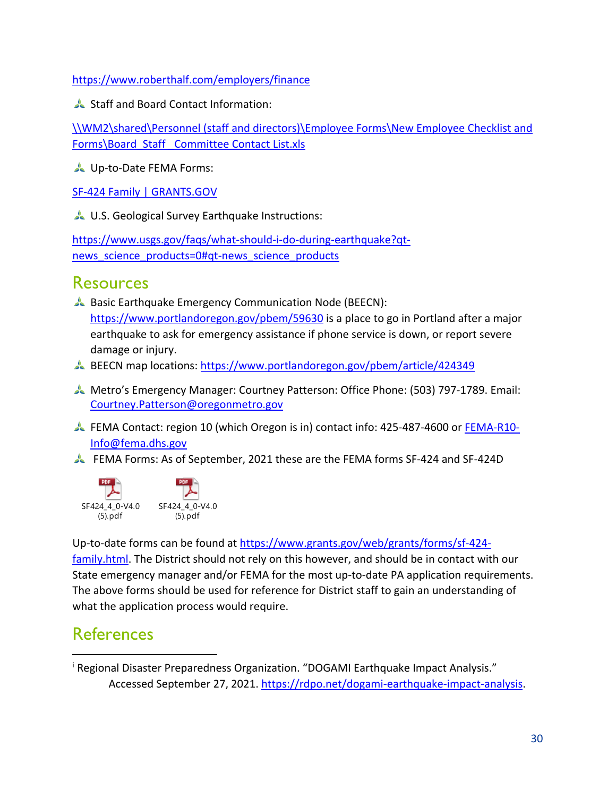<https://www.roberthalf.com/employers/finance>

Staff and Board Contact Information:

[\\WM2\shared\Personnel \(staff and directors\)\Employee Forms\New Employee Checklist and](file://WM2/shared/Personnel%20(staff%20and%20directors)/Employee%20Forms/New%20Employee%20Checklist%20and%20Forms/Board_Staff%20_Committee%20Contact%20List.xls)  [Forms\Board\\_Staff \\_Committee Contact List.xls](file://WM2/shared/Personnel%20(staff%20and%20directors)/Employee%20Forms/New%20Employee%20Checklist%20and%20Forms/Board_Staff%20_Committee%20Contact%20List.xls)

Up-to-Date FEMA Forms:

[SF-424 Family | GRANTS.GOV](https://www.grants.gov/web/grants/forms/sf-424-family.html)

U.S. Geological Survey Earthquake Instructions:

[https://www.usgs.gov/faqs/what-should-i-do-during-earthquake?qt](https://www.usgs.gov/faqs/what-should-i-do-during-earthquake?qt-news_science_products=0#qt-news_science_products)news science products=0#qt-news science products

### <span id="page-30-0"></span>**Resources**

- Basic Earthquake Emergency Communication Node (BEECN): <https://www.portlandoregon.gov/pbem/59630> is a place to go in Portland after a major earthquake to ask for emergency assistance if phone service is down, or report severe damage or injury.
- BEECN map locations:<https://www.portlandoregon.gov/pbem/article/424349>
- Metro's Emergency Manager: Courtney Patterson: Office Phone: (503) 797-1789. Email: [Courtney.Patterson@oregonmetro.gov](mailto:Courtney.Patterson@oregonmetro.gov)
- FEMA Contact: region 10 (which Oregon is in) contact info: 425-487-4600 or [FEMA-R10-](mailto:FEMA-R10-Info@fema.dhs.gov) [Info@fema.dhs.gov](mailto:FEMA-R10-Info@fema.dhs.gov)
- FEMA Forms: As of September, 2021 these are the FEMA forms SF-424 and SF-424D



Up-to-date forms can be found at https://www.grants.gov/web/grants/forms/sf-424 family.html. The District should not rely on this however, and should be in contact with our State emergency manager and/or FEMA for the most up-to-date PA application requirements. The above forms should be used for reference for District staff to gain an understanding of what the application process would require.

### <span id="page-30-1"></span>**References**

 $\overline{a}$ 

<sup>&</sup>lt;sup>i</sup> Regional Disaster Preparedness Organization. "DOGAMI Earthquake Impact Analysis." Accessed September 27, 2021. [https://rdpo.net/dogami-earthquake-impact-analysis.](https://rdpo.net/dogami-earthquake-impact-analysis)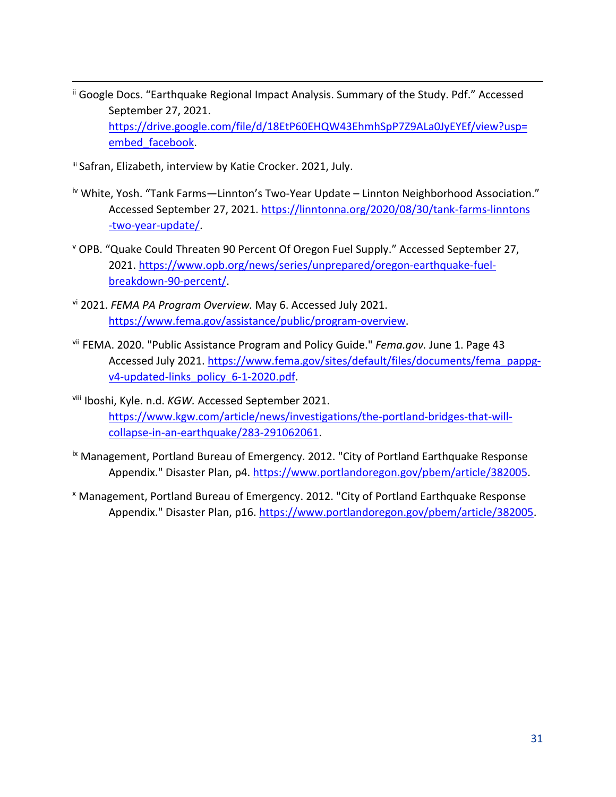- ii Google Docs. "Earthquake Regional Impact Analysis. Summary of the Study. Pdf." Accessed September 27, 2021. [https://drive.google.com/file/d/18EtP60EHQW43EhmhSpP7Z9ALa0JyEYEf/view?usp=](https://drive.google.com/file/d/18EtP60EHQW43EhmhSpP7Z9ALa0JyEYEf/view?usp=embed_facebook) [embed\\_facebook.](https://drive.google.com/file/d/18EtP60EHQW43EhmhSpP7Z9ALa0JyEYEf/view?usp=embed_facebook)
- **iii Safran, Elizabeth, interview by Katie Crocker. 2021, July.**
- iv White, Yosh. "Tank Farms-Linnton's Two-Year Update Linnton Neighborhood Association." Accessed September 27, 2021. [https://linntonna.org/2020/08/30/tank-farms-linntons](https://linntonna.org/2020/08/30/tank-farms-linntons%09-two-year-update/) [-two-year-update/.](https://linntonna.org/2020/08/30/tank-farms-linntons%09-two-year-update/)
- <sup>v</sup> OPB. "Quake Could Threaten 90 Percent Of Oregon Fuel Supply." Accessed September 27, 2021. [https://www.opb.org/news/series/unprepared/oregon-earthquake-fuel](https://www.opb.org/news/series/unprepared/oregon-earthquake-fuel-%09breakdown-90-percent/)[breakdown-90-percent/.](https://www.opb.org/news/series/unprepared/oregon-earthquake-fuel-%09breakdown-90-percent/)
- vi 2021. *FEMA PA Program Overview.* May 6. Accessed July 2021. [https://www.fema.gov/assistance/public/program-overview.](https://www.fema.gov/assistance/public/program-overview)
- vii FEMA. 2020. "Public Assistance Program and Policy Guide." *Fema.gov.* June 1. Page 43 Accessed July 2021. [https://www.fema.gov/sites/default/files/documents/fema\\_pappg](https://www.fema.gov/sites/default/files/documents/fema_pappg-v4-updated-links_policy_6-1-2020.pdf)[v4-updated-links\\_policy\\_6-1-2020.pdf.](https://www.fema.gov/sites/default/files/documents/fema_pappg-v4-updated-links_policy_6-1-2020.pdf)
- viii Iboshi, Kyle. n.d. *KGW.* Accessed September 2021. [https://www.kgw.com/article/news/investigations/the-portland-bridges-that-will](https://www.kgw.com/article/news/investigations/the-portland-bridges-that-will-collapse-in-an-earthquake/283-291062061)[collapse-in-an-earthquake/283-291062061.](https://www.kgw.com/article/news/investigations/the-portland-bridges-that-will-collapse-in-an-earthquake/283-291062061)
- ix Management, Portland Bureau of Emergency. 2012. "City of Portland Earthquake Response Appendix." Disaster Plan, p4. [https://www.portlandoregon.gov/pbem/article/382005.](https://www.portlandoregon.gov/pbem/article/382005)
- <sup>x</sup> Management, Portland Bureau of Emergency. 2012. "City of Portland Earthquake Response Appendix." Disaster Plan, p16. [https://www.portlandoregon.gov/pbem/article/382005.](https://www.portlandoregon.gov/pbem/article/382005)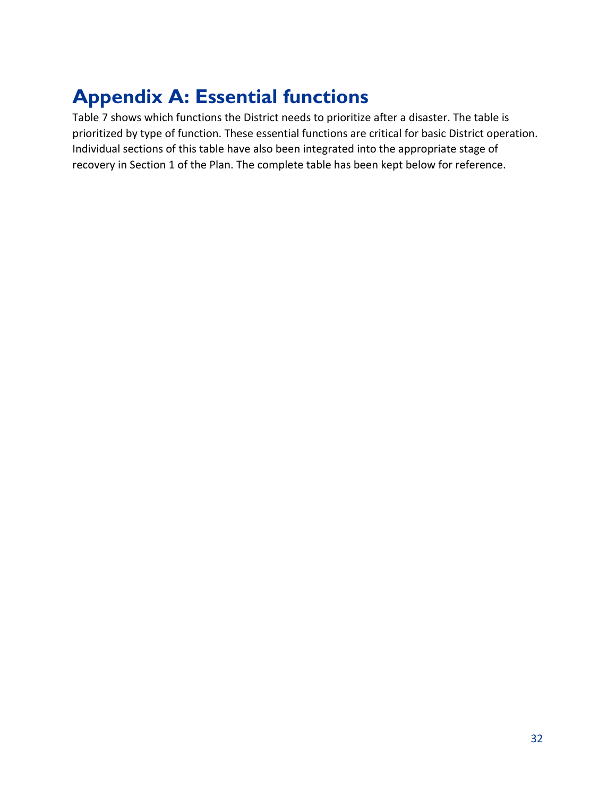# <span id="page-32-0"></span>**Appendix A: Essential functions**

<span id="page-32-3"></span><span id="page-32-2"></span><span id="page-32-1"></span>Table 7 shows which functions the District needs to prioritize after a disaster. The table is prioritized by type of function. These essential functions are critical for basic District operation. Individual sections of this table have also been integrated into the appropriate stage of recovery in Section 1 of the Plan. The complete table has been kept below for reference.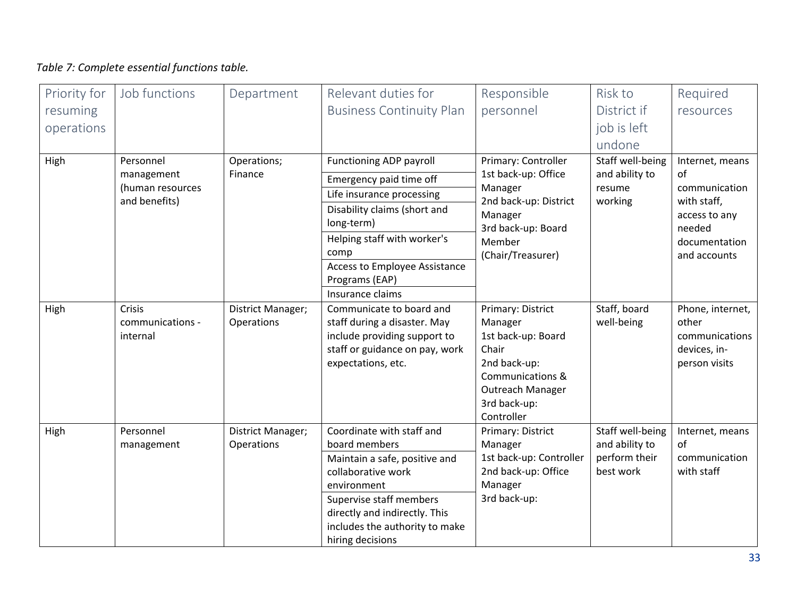### *Table 7: Complete essential functions table.*

<span id="page-33-1"></span><span id="page-33-0"></span>

| Priority for | Job functions                          | Department                      | Relevant duties for                                                                                                                                                                                                                | Responsible                                                                                                                                                  | Risk to                                                          | Required                                                                     |
|--------------|----------------------------------------|---------------------------------|------------------------------------------------------------------------------------------------------------------------------------------------------------------------------------------------------------------------------------|--------------------------------------------------------------------------------------------------------------------------------------------------------------|------------------------------------------------------------------|------------------------------------------------------------------------------|
| resuming     |                                        |                                 | <b>Business Continuity Plan</b>                                                                                                                                                                                                    | personnel                                                                                                                                                    | District if                                                      | resources                                                                    |
| operations   |                                        |                                 |                                                                                                                                                                                                                                    |                                                                                                                                                              | job is left                                                      |                                                                              |
|              |                                        |                                 |                                                                                                                                                                                                                                    |                                                                                                                                                              | undone                                                           |                                                                              |
| High         | Personnel                              | Operations;                     | Functioning ADP payroll                                                                                                                                                                                                            | Primary: Controller                                                                                                                                          | Staff well-being                                                 | Internet, means                                                              |
|              | management                             | Finance                         | Emergency paid time off                                                                                                                                                                                                            | 1st back-up: Office                                                                                                                                          | and ability to                                                   | of<br>communication                                                          |
|              | (human resources<br>and benefits)      |                                 | Life insurance processing                                                                                                                                                                                                          | Manager<br>2nd back-up: District                                                                                                                             | resume<br>working                                                | with staff,                                                                  |
|              |                                        |                                 | Disability claims (short and<br>long-term)                                                                                                                                                                                         | Manager<br>3rd back-up: Board                                                                                                                                |                                                                  | access to any<br>needed                                                      |
|              |                                        |                                 | Helping staff with worker's<br>comp                                                                                                                                                                                                | Member<br>(Chair/Treasurer)                                                                                                                                  |                                                                  | documentation<br>and accounts                                                |
|              |                                        |                                 | <b>Access to Employee Assistance</b><br>Programs (EAP)                                                                                                                                                                             |                                                                                                                                                              |                                                                  |                                                                              |
|              |                                        |                                 | Insurance claims                                                                                                                                                                                                                   |                                                                                                                                                              |                                                                  |                                                                              |
| High         | Crisis<br>communications -<br>internal | District Manager;<br>Operations | Communicate to board and<br>staff during a disaster. May<br>include providing support to<br>staff or guidance on pay, work<br>expectations, etc.                                                                                   | Primary: District<br>Manager<br>1st back-up: Board<br>Chair<br>2nd back-up:<br><b>Communications &amp;</b><br>Outreach Manager<br>3rd back-up:<br>Controller | Staff, board<br>well-being                                       | Phone, internet,<br>other<br>communications<br>devices, in-<br>person visits |
| High         | Personnel<br>management                | District Manager;<br>Operations | Coordinate with staff and<br>board members<br>Maintain a safe, positive and<br>collaborative work<br>environment<br>Supervise staff members<br>directly and indirectly. This<br>includes the authority to make<br>hiring decisions | Primary: District<br>Manager<br>1st back-up: Controller<br>2nd back-up: Office<br>Manager<br>3rd back-up:                                                    | Staff well-being<br>and ability to<br>perform their<br>best work | Internet, means<br>of<br>communication<br>with staff                         |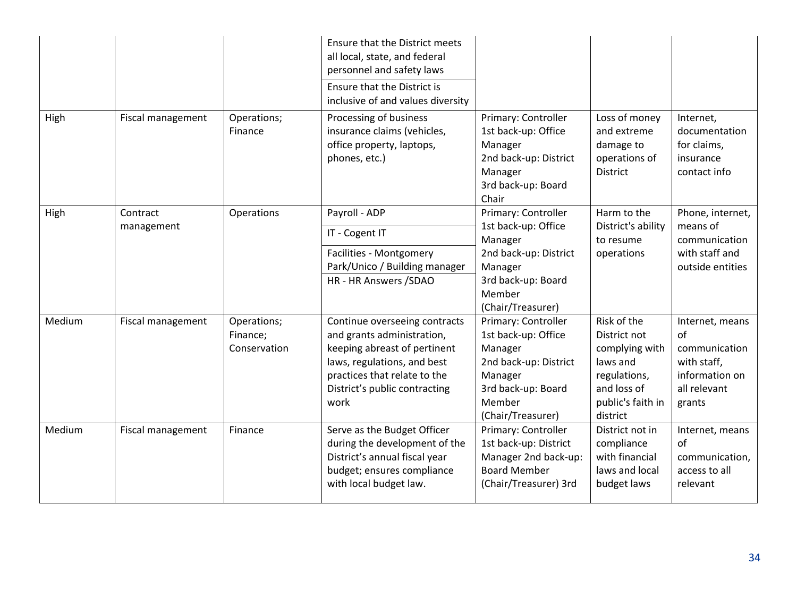|        |                   |                                         | Ensure that the District meets<br>all local, state, and federal<br>personnel and safety laws                                                                                                        |                                                                                                                                                                     |                                                                                                                           |                                                                                                   |
|--------|-------------------|-----------------------------------------|-----------------------------------------------------------------------------------------------------------------------------------------------------------------------------------------------------|---------------------------------------------------------------------------------------------------------------------------------------------------------------------|---------------------------------------------------------------------------------------------------------------------------|---------------------------------------------------------------------------------------------------|
|        |                   |                                         | Ensure that the District is<br>inclusive of and values diversity                                                                                                                                    |                                                                                                                                                                     |                                                                                                                           |                                                                                                   |
| High   | Fiscal management | Operations;<br>Finance                  | Processing of business<br>insurance claims (vehicles,<br>office property, laptops,<br>phones, etc.)                                                                                                 | Primary: Controller<br>1st back-up: Office<br>Manager<br>2nd back-up: District<br>Manager<br>3rd back-up: Board<br>Chair                                            | Loss of money<br>and extreme<br>damage to<br>operations of<br><b>District</b>                                             | Internet,<br>documentation<br>for claims,<br>insurance<br>contact info                            |
| High   | Contract          | Operations                              | Payroll - ADP                                                                                                                                                                                       | Primary: Controller                                                                                                                                                 | Harm to the                                                                                                               | Phone, internet,                                                                                  |
|        | management        |                                         | IT - Cogent IT                                                                                                                                                                                      | 1st back-up: Office<br>Manager                                                                                                                                      | District's ability<br>to resume                                                                                           | means of<br>communication                                                                         |
|        |                   |                                         | Facilities - Montgomery<br>Park/Unico / Building manager<br>HR - HR Answers /SDAO                                                                                                                   | 2nd back-up: District<br>Manager<br>3rd back-up: Board<br>Member                                                                                                    | operations                                                                                                                | with staff and<br>outside entities                                                                |
| Medium | Fiscal management | Operations;<br>Finance;<br>Conservation | Continue overseeing contracts<br>and grants administration,<br>keeping abreast of pertinent<br>laws, regulations, and best<br>practices that relate to the<br>District's public contracting<br>work | (Chair/Treasurer)<br>Primary: Controller<br>1st back-up: Office<br>Manager<br>2nd back-up: District<br>Manager<br>3rd back-up: Board<br>Member<br>(Chair/Treasurer) | Risk of the<br>District not<br>complying with<br>laws and<br>regulations,<br>and loss of<br>public's faith in<br>district | Internet, means<br>of<br>communication<br>with staff,<br>information on<br>all relevant<br>grants |
| Medium | Fiscal management | Finance                                 | Serve as the Budget Officer<br>during the development of the<br>District's annual fiscal year<br>budget; ensures compliance<br>with local budget law.                                               | Primary: Controller<br>1st back-up: District<br>Manager 2nd back-up:<br><b>Board Member</b><br>(Chair/Treasurer) 3rd                                                | District not in<br>compliance<br>with financial<br>laws and local<br>budget laws                                          | Internet, means<br>of<br>communication,<br>access to all<br>relevant                              |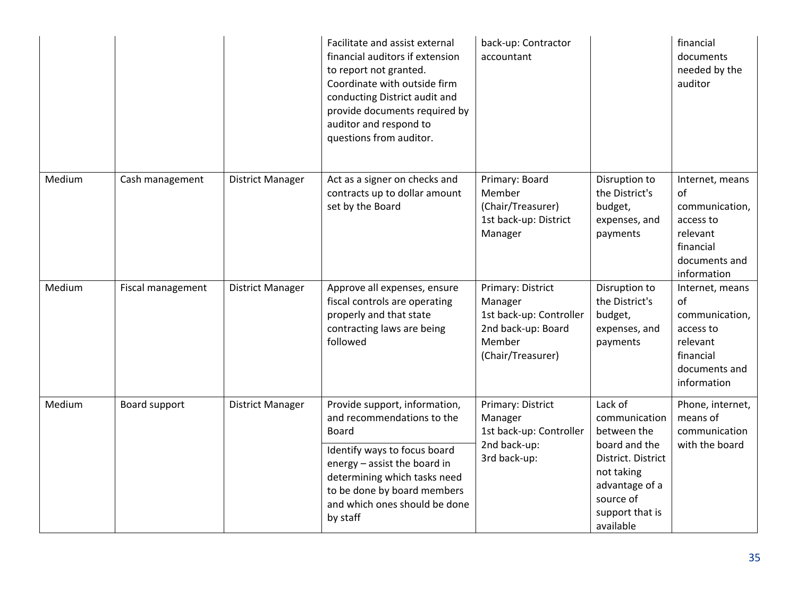|        |                   |                         | Facilitate and assist external<br>financial auditors if extension<br>to report not granted.<br>Coordinate with outside firm<br>conducting District audit and<br>provide documents required by<br>auditor and respond to<br>questions from auditor. | back-up: Contractor<br>accountant                                                                            |                                                                                                                                                | financial<br>documents<br>needed by the<br>auditor                                                            |
|--------|-------------------|-------------------------|----------------------------------------------------------------------------------------------------------------------------------------------------------------------------------------------------------------------------------------------------|--------------------------------------------------------------------------------------------------------------|------------------------------------------------------------------------------------------------------------------------------------------------|---------------------------------------------------------------------------------------------------------------|
| Medium | Cash management   | <b>District Manager</b> | Act as a signer on checks and<br>contracts up to dollar amount<br>set by the Board                                                                                                                                                                 | Primary: Board<br>Member<br>(Chair/Treasurer)<br>1st back-up: District<br>Manager                            | Disruption to<br>the District's<br>budget,<br>expenses, and<br>payments                                                                        | Internet, means<br>of<br>communication,<br>access to<br>relevant<br>financial<br>documents and<br>information |
| Medium | Fiscal management | District Manager        | Approve all expenses, ensure<br>fiscal controls are operating<br>properly and that state<br>contracting laws are being<br>followed                                                                                                                 | Primary: District<br>Manager<br>1st back-up: Controller<br>2nd back-up: Board<br>Member<br>(Chair/Treasurer) | Disruption to<br>the District's<br>budget,<br>expenses, and<br>payments                                                                        | Internet, means<br>of<br>communication,<br>access to<br>relevant<br>financial<br>documents and<br>information |
| Medium | Board support     | <b>District Manager</b> | Provide support, information,<br>and recommendations to the<br><b>Board</b><br>Identify ways to focus board<br>energy - assist the board in<br>determining which tasks need<br>to be done by board members<br>and which ones should be done        | Primary: District<br>Manager<br>1st back-up: Controller<br>2nd back-up:<br>3rd back-up:                      | Lack of<br>communication<br>between the<br>board and the<br>District. District<br>not taking<br>advantage of a<br>source of<br>support that is | Phone, internet,<br>means of<br>communication<br>with the board                                               |
|        |                   |                         | by staff                                                                                                                                                                                                                                           |                                                                                                              | available                                                                                                                                      |                                                                                                               |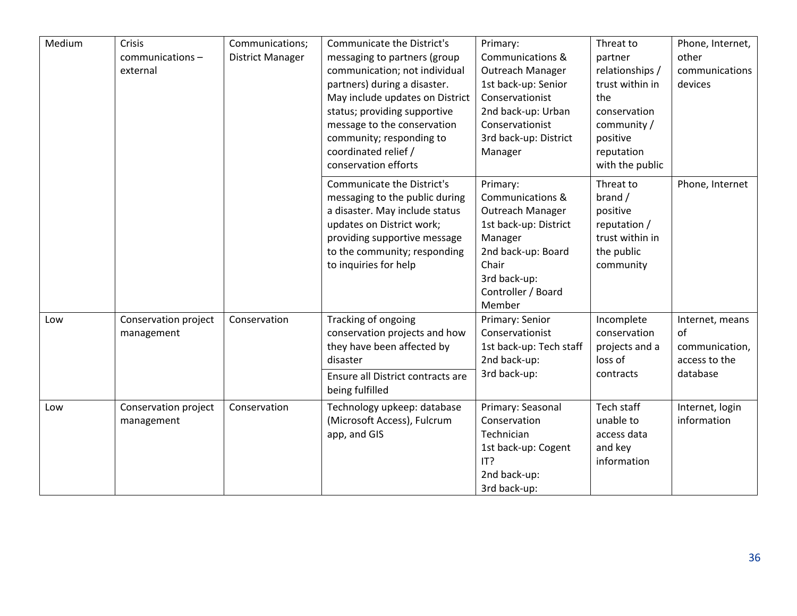| Medium | Crisis<br>communications-<br>external | Communications;<br><b>District Manager</b> | <b>Communicate the District's</b><br>messaging to partners (group<br>communication; not individual<br>partners) during a disaster.<br>May include updates on District<br>status; providing supportive<br>message to the conservation<br>community; responding to<br>coordinated relief /<br>conservation efforts | Primary:<br><b>Communications &amp;</b><br>Outreach Manager<br>1st back-up: Senior<br>Conservationist<br>2nd back-up: Urban<br>Conservationist<br>3rd back-up: District<br>Manager | Threat to<br>partner<br>relationships /<br>trust within in<br>the<br>conservation<br>community /<br>positive<br>reputation<br>with the public | Phone, Internet,<br>other<br>communications<br>devices   |
|--------|---------------------------------------|--------------------------------------------|------------------------------------------------------------------------------------------------------------------------------------------------------------------------------------------------------------------------------------------------------------------------------------------------------------------|------------------------------------------------------------------------------------------------------------------------------------------------------------------------------------|-----------------------------------------------------------------------------------------------------------------------------------------------|----------------------------------------------------------|
|        |                                       |                                            | <b>Communicate the District's</b><br>messaging to the public during<br>a disaster. May include status<br>updates on District work;<br>providing supportive message<br>to the community; responding<br>to inquiries for help                                                                                      | Primary:<br>Communications &<br>Outreach Manager<br>1st back-up: District<br>Manager<br>2nd back-up: Board<br>Chair<br>3rd back-up:<br>Controller / Board<br>Member                | Threat to<br>brand /<br>positive<br>reputation /<br>trust within in<br>the public<br>community                                                | Phone, Internet                                          |
| Low    | Conservation project<br>management    | Conservation                               | Tracking of ongoing<br>conservation projects and how<br>they have been affected by<br>disaster                                                                                                                                                                                                                   | Primary: Senior<br>Conservationist<br>1st back-up: Tech staff<br>2nd back-up:                                                                                                      | Incomplete<br>conservation<br>projects and a<br>loss of                                                                                       | Internet, means<br>of<br>communication,<br>access to the |
|        |                                       |                                            | Ensure all District contracts are<br>being fulfilled                                                                                                                                                                                                                                                             | 3rd back-up:                                                                                                                                                                       | contracts                                                                                                                                     | database                                                 |
| Low    | Conservation project<br>management    | Conservation                               | Technology upkeep: database<br>(Microsoft Access), Fulcrum<br>app, and GIS                                                                                                                                                                                                                                       | Primary: Seasonal<br>Conservation<br>Technician<br>1st back-up: Cogent<br>IT?<br>2nd back-up:<br>3rd back-up:                                                                      | Tech staff<br>unable to<br>access data<br>and key<br>information                                                                              | Internet, login<br>information                           |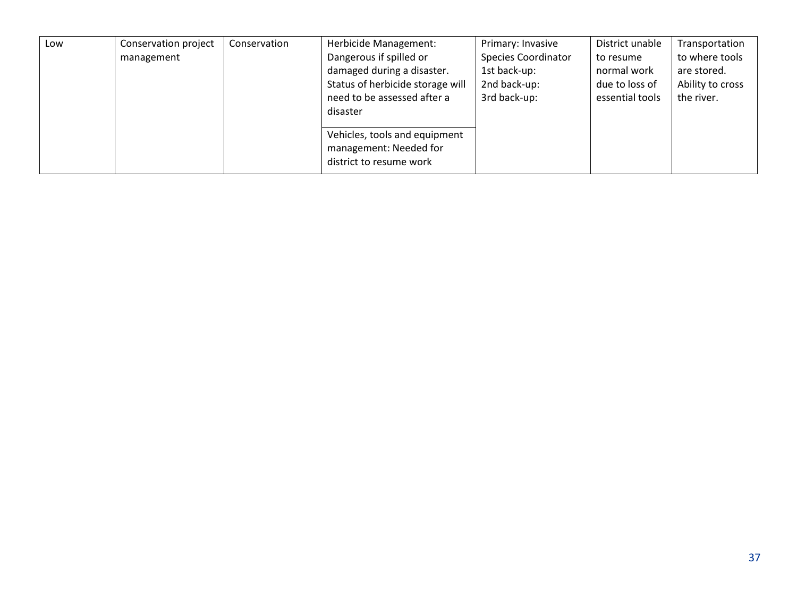| Low | Conservation project | Conservation | Herbicide Management:                                                              | Primary: Invasive          | District unable | Transportation   |
|-----|----------------------|--------------|------------------------------------------------------------------------------------|----------------------------|-----------------|------------------|
|     | management           |              | Dangerous if spilled or                                                            | <b>Species Coordinator</b> | to resume       | to where tools   |
|     |                      |              | damaged during a disaster.                                                         | 1st back-up:               | normal work     | are stored.      |
|     |                      |              | Status of herbicide storage will                                                   | 2nd back-up:               | due to loss of  | Ability to cross |
|     |                      |              | need to be assessed after a                                                        | 3rd back-up:               | essential tools | the river.       |
|     |                      |              | disaster                                                                           |                            |                 |                  |
|     |                      |              | Vehicles, tools and equipment<br>management: Needed for<br>district to resume work |                            |                 |                  |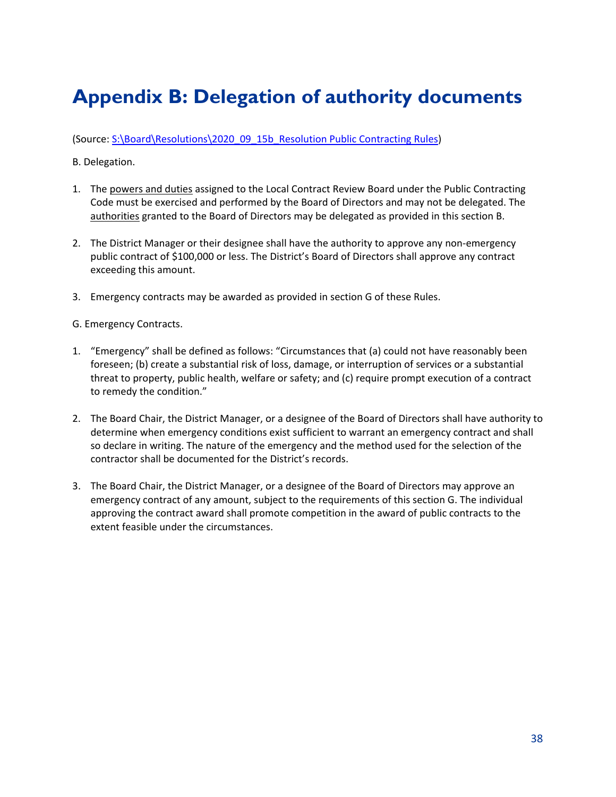# <span id="page-38-0"></span>**Appendix B: Delegation of authority documents**

(Source: [S:\Board\Resolutions\2020\\_09\\_15b\\_Resolution Public Contracting Rules\)](file://WM2/shared/Board/Resolutions/2020_09_15b_Resolution%20Public%20Contracting%20Rules)

B. Delegation.

- 1. The powers and duties assigned to the Local Contract Review Board under the Public Contracting Code must be exercised and performed by the Board of Directors and may not be delegated. The authorities granted to the Board of Directors may be delegated as provided in this section B.
- 2. The District Manager or their designee shall have the authority to approve any non-emergency public contract of \$100,000 or less. The District's Board of Directors shall approve any contract exceeding this amount.
- 3. Emergency contracts may be awarded as provided in section G of these Rules.

G. Emergency Contracts.

- 1. "Emergency" shall be defined as follows: "Circumstances that (a) could not have reasonably been foreseen; (b) create a substantial risk of loss, damage, or interruption of services or a substantial threat to property, public health, welfare or safety; and (c) require prompt execution of a contract to remedy the condition."
- 2. The Board Chair, the District Manager, or a designee of the Board of Directors shall have authority to determine when emergency conditions exist sufficient to warrant an emergency contract and shall so declare in writing. The nature of the emergency and the method used for the selection of the contractor shall be documented for the District's records.
- 3. The Board Chair, the District Manager, or a designee of the Board of Directors may approve an emergency contract of any amount, subject to the requirements of this section G. The individual approving the contract award shall promote competition in the award of public contracts to the extent feasible under the circumstances.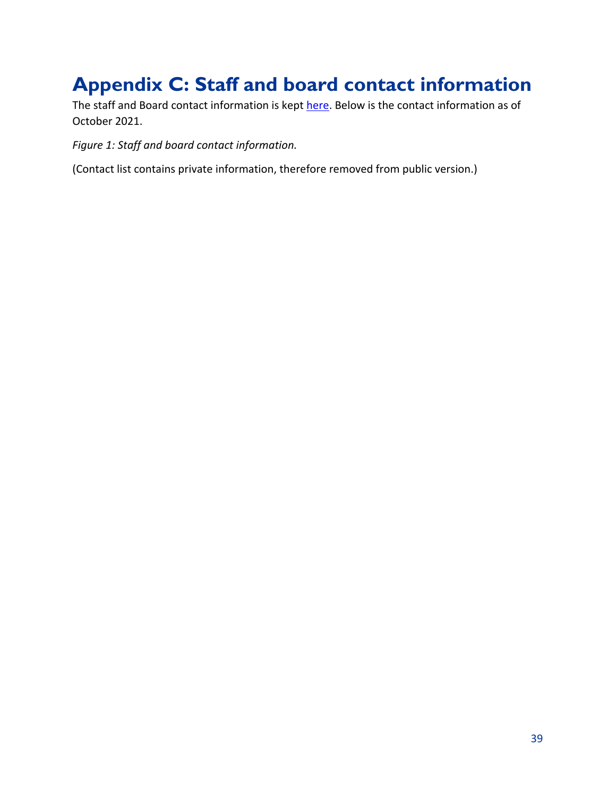# <span id="page-39-0"></span>**Appendix C: Staff and board contact information**

The staff and Board contact information is kept [here.](file://WM2/shared/Personnel%20(staff%20and%20directors)/Employee%20Forms/New%20Employee%20Checklist%20and%20Forms/Board_Staff%20_Committee%20Contact%20List.xls) Below is the contact information as of October 2021.

*Figure 1: Staff and board contact information.*

(Contact list contains private information, therefore removed from public version.)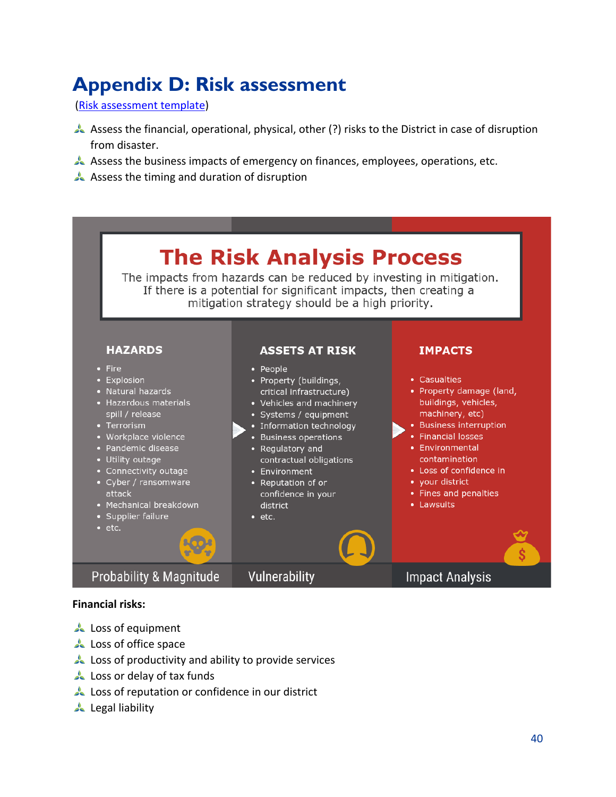# <span id="page-40-0"></span>**Appendix D: Risk assessment**

[\(Risk assessment template\)](https://www.getstreamline.com/blog/disaster-planning-mitigation)

- Assess the financial, operational, physical, other (?) risks to the District in case of disruption from disaster.
- Assess the business impacts of emergency on finances, employees, operations, etc.
- Assess the timing and duration of disruption

# **The Risk Analysis Process**

The impacts from hazards can be reduced by investing in mitigation. If there is a potential for significant impacts, then creating a mitigation strategy should be a high priority.

#### **HAZARDS**

- $\bullet$  Fire
- Explosion
- Natural hazards
- Hazardous materials spill / release
- Terrorism
- Workplace violence
- Pandemic disease
- Utility outage
- Connectivity outage
- Cyber / ransomware attack
- Mechanical breakdown
- Supplier failure
- $\cdot$  etc.

**Probability & Magnitude** 

#### **ASSETS AT RISK**

#### • People

- Property (buildings, critical infrastructure)
- Vehicles and machinery
- Systems / equipment
- Information technology
- Business operations
- Regulatory and contractual obligations
- Environment

Vulnerability

- Reputation of or confidence in your district
- $\bullet$  etc.

#### **IMPACTS**

- Casualties • Property damage (land, buildings, vehicles, machinery, etc) • Business interruption • Financial losses • Environmental contamination
	- Loss of confidence in
	- your district
	- Fines and penalties
	- Lawsuits

### **Impact Analysis**

- **Financial risks:**
- **Loss of equipment**
- **Loss of office space**
- **Loss of productivity and ability to provide services**
- **Loss or delay of tax funds**
- Loss of reputation or confidence in our district
- Legal liability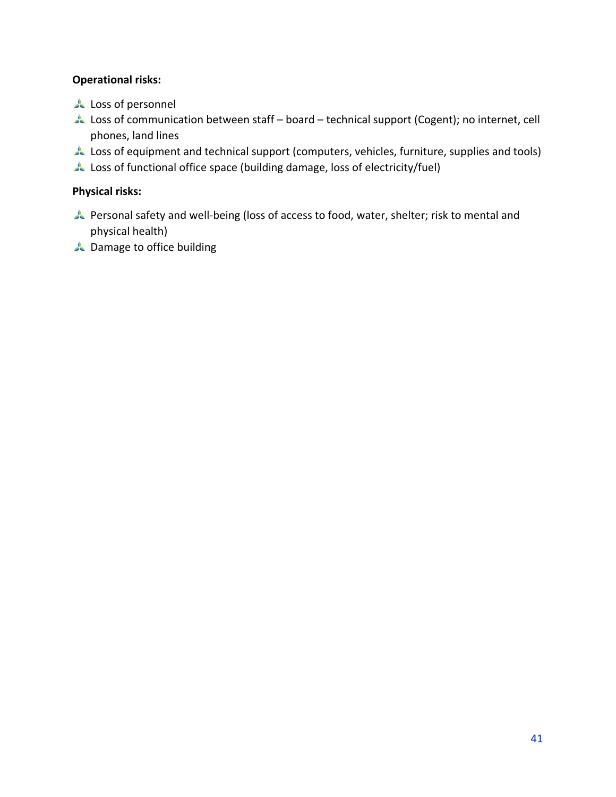#### **Operational risks:**

- **Loss of personnel**
- Loss of communication between staff board technical support (Cogent); no internet, cell phones, land lines
- Loss of equipment and technical support (computers, vehicles, furniture, supplies and tools)
- Loss of functional office space (building damage, loss of electricity/fuel)

#### **Physical risks:**

- Personal safety and well-being (loss of access to food, water, shelter; risk to mental and physical health)
- **A** Damage to office building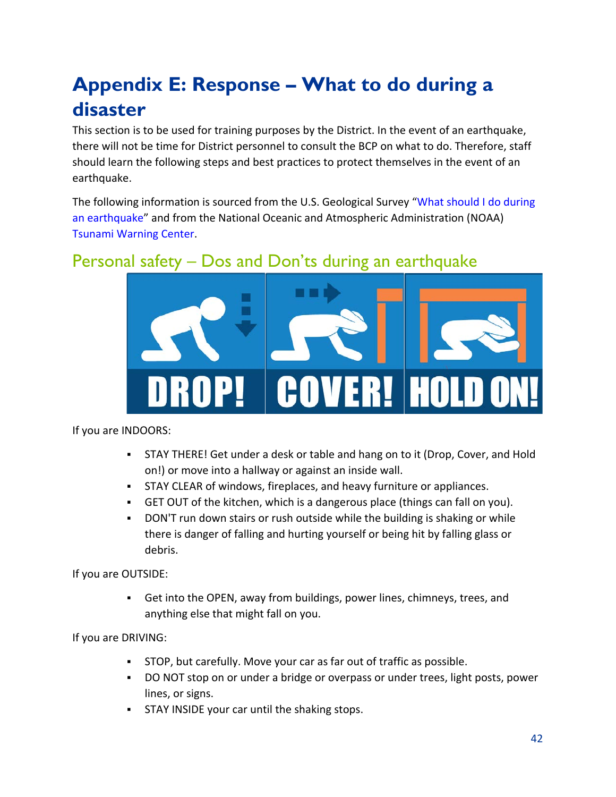# <span id="page-42-0"></span>**Appendix E: Response – What to do during a disaster**

This section is to be used for training purposes by the District. In the event of an earthquake, there will not be time for District personnel to consult the BCP on what to do. Therefore, staff should learn the following steps and best practices to protect themselves in the event of an earthquake.

The following information is sourced from the U.S. Geological Survey "What should I do during [an earthquake"](https://www.usgs.gov/faqs/what-should-i-do-during-earthquake) and from the National Oceanic and Atmospheric Administration (NOAA) [Tsunami Warning Center.](https://www.weather.gov/safety/tsunami-during)

### <span id="page-42-1"></span>Personal safety – Dos and Don'ts during an earthquake



If you are INDOORS:

- STAY THERE! Get under a desk or table and hang on to it (Drop, Cover, and Hold on!) or move into a hallway or against an inside wall.
- STAY CLEAR of windows, fireplaces, and heavy furniture or appliances.
- GET OUT of the kitchen, which is a dangerous place (things can fall on you).
- DON'T run down stairs or rush outside while the building is shaking or while there is danger of falling and hurting yourself or being hit by falling glass or debris.

If you are OUTSIDE:

 Get into the OPEN, away from buildings, power lines, chimneys, trees, and anything else that might fall on you.

If you are DRIVING:

- STOP, but carefully. Move your car as far out of traffic as possible.
- DO NOT stop on or under a bridge or overpass or under trees, light posts, power lines, or signs.
- **STAY INSIDE your car until the shaking stops.**